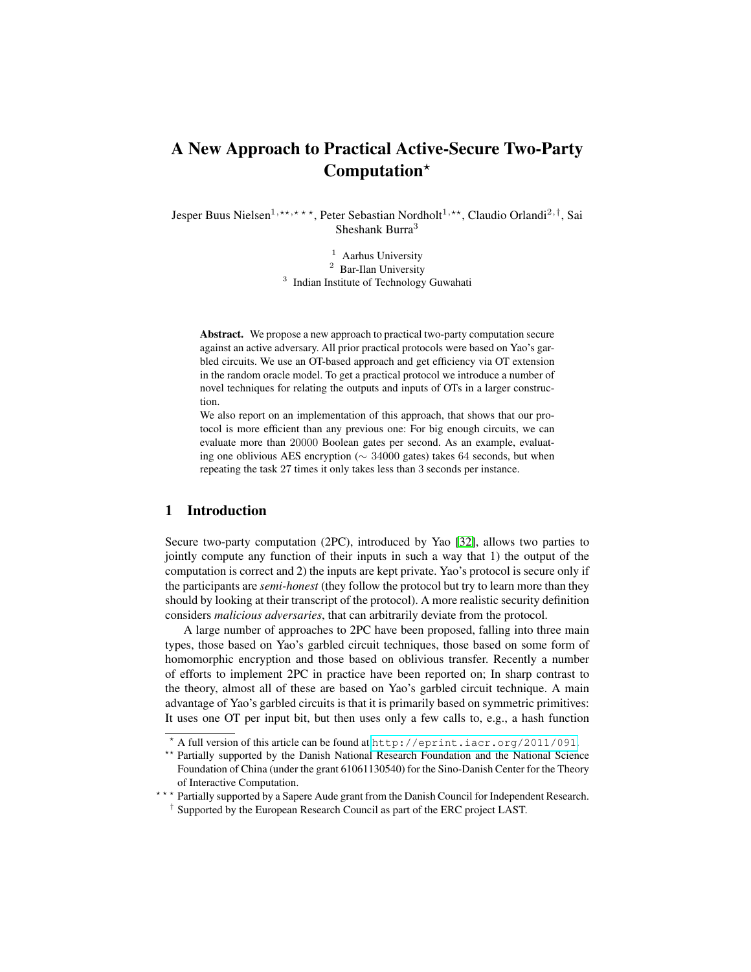# A New Approach to Practical Active-Secure Two-Party Computation?

Jesper Buus Nielsen $^{1, \star\star, \star\star\star}$ , Peter Sebastian Nordholt $^{1, \star\star}$ , Claudio Orlandi<sup>2,†</sup>, Sai Sheshank Burra<sup>3</sup>

> <sup>1</sup> Aarhus University <sup>2</sup> Bar-Ilan University <sup>3</sup> Indian Institute of Technology Guwahati

Abstract. We propose a new approach to practical two-party computation secure against an active adversary. All prior practical protocols were based on Yao's garbled circuits. We use an OT-based approach and get efficiency via OT extension in the random oracle model. To get a practical protocol we introduce a number of novel techniques for relating the outputs and inputs of OTs in a larger construction.

We also report on an implementation of this approach, that shows that our protocol is more efficient than any previous one: For big enough circuits, we can evaluate more than 20000 Boolean gates per second. As an example, evaluating one oblivious AES encryption ( $\sim$  34000 gates) takes 64 seconds, but when repeating the task 27 times it only takes less than 3 seconds per instance.

## 1 Introduction

Secure two-party computation (2PC), introduced by Yao [\[32\]](#page-19-0), allows two parties to jointly compute any function of their inputs in such a way that 1) the output of the computation is correct and 2) the inputs are kept private. Yao's protocol is secure only if the participants are *semi-honest* (they follow the protocol but try to learn more than they should by looking at their transcript of the protocol). A more realistic security definition considers *malicious adversaries*, that can arbitrarily deviate from the protocol.

A large number of approaches to 2PC have been proposed, falling into three main types, those based on Yao's garbled circuit techniques, those based on some form of homomorphic encryption and those based on oblivious transfer. Recently a number of efforts to implement 2PC in practice have been reported on; In sharp contrast to the theory, almost all of these are based on Yao's garbled circuit technique. A main advantage of Yao's garbled circuits is that it is primarily based on symmetric primitives: It uses one OT per input bit, but then uses only a few calls to, e.g., a hash function

<sup>?</sup> A full version of this article can be found at <http://eprint.iacr.org/2011/091>.

<sup>\*\*</sup> Partially supported by the Danish National Research Foundation and the National Science Foundation of China (under the grant 61061130540) for the Sino-Danish Center for the Theory of Interactive Computation.

<sup>\* \* \*</sup> Partially supported by a Sapere Aude grant from the Danish Council for Independent Research. † Supported by the European Research Council as part of the ERC project LAST.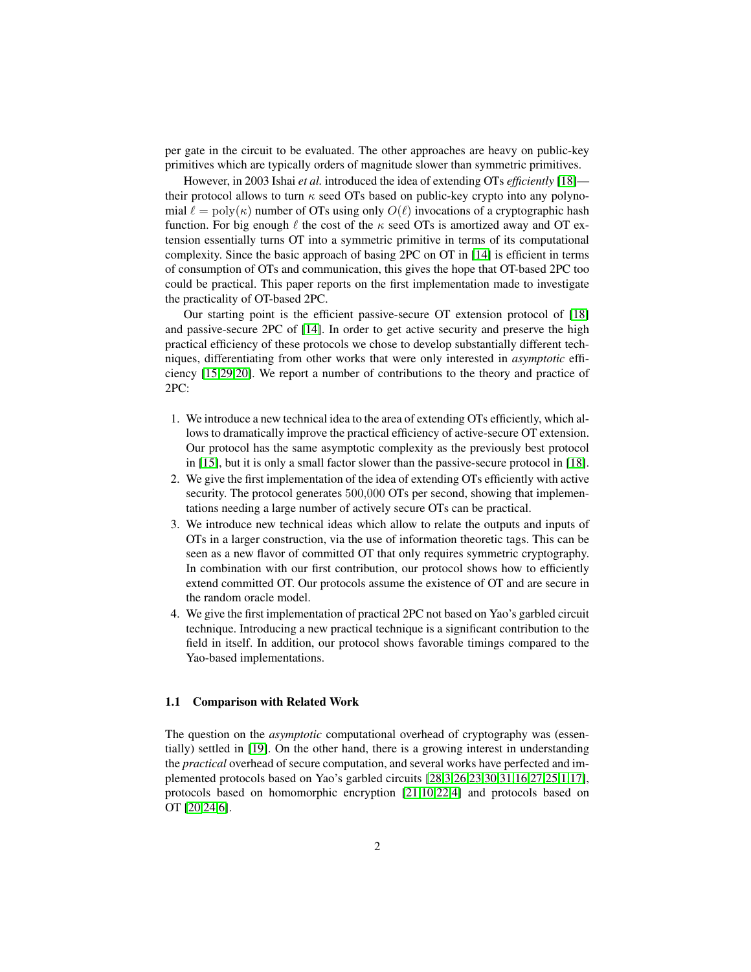per gate in the circuit to be evaluated. The other approaches are heavy on public-key primitives which are typically orders of magnitude slower than symmetric primitives.

However, in 2003 Ishai *et al.* introduced the idea of extending OTs *efficiently* [\[18\]](#page-19-1) their protocol allows to turn  $\kappa$  seed OTs based on public-key crypto into any polynomial  $\ell = \text{poly}(\kappa)$  number of OTs using only  $O(\ell)$  invocations of a cryptographic hash function. For big enough  $\ell$  the cost of the  $\kappa$  seed OTs is amortized away and OT extension essentially turns OT into a symmetric primitive in terms of its computational complexity. Since the basic approach of basing 2PC on OT in [\[14\]](#page-18-0) is efficient in terms of consumption of OTs and communication, this gives the hope that OT-based 2PC too could be practical. This paper reports on the first implementation made to investigate the practicality of OT-based 2PC.

Our starting point is the efficient passive-secure OT extension protocol of [\[18\]](#page-19-1) and passive-secure 2PC of [\[14\]](#page-18-0). In order to get active security and preserve the high practical efficiency of these protocols we chose to develop substantially different techniques, differentiating from other works that were only interested in *asymptotic* efficiency [\[15](#page-18-1)[,29,](#page-19-2)[20\]](#page-19-3). We report a number of contributions to the theory and practice of 2PC:

- 1. We introduce a new technical idea to the area of extending OTs efficiently, which allows to dramatically improve the practical efficiency of active-secure OT extension. Our protocol has the same asymptotic complexity as the previously best protocol in [\[15\]](#page-18-1), but it is only a small factor slower than the passive-secure protocol in [\[18\]](#page-19-1).
- 2. We give the first implementation of the idea of extending OTs efficiently with active security. The protocol generates 500,000 OTs per second, showing that implementations needing a large number of actively secure OTs can be practical.
- 3. We introduce new technical ideas which allow to relate the outputs and inputs of OTs in a larger construction, via the use of information theoretic tags. This can be seen as a new flavor of committed OT that only requires symmetric cryptography. In combination with our first contribution, our protocol shows how to efficiently extend committed OT. Our protocols assume the existence of OT and are secure in the random oracle model.
- 4. We give the first implementation of practical 2PC not based on Yao's garbled circuit technique. Introducing a new practical technique is a significant contribution to the field in itself. In addition, our protocol shows favorable timings compared to the Yao-based implementations.

### 1.1 Comparison with Related Work

The question on the *asymptotic* computational overhead of cryptography was (essentially) settled in [\[19\]](#page-19-4). On the other hand, there is a growing interest in understanding the *practical* overhead of secure computation, and several works have perfected and implemented protocols based on Yao's garbled circuits [\[28,](#page-19-5)[3,](#page-18-2)[26,](#page-19-6)[23,](#page-19-7)[30,](#page-19-8)[31](#page-19-9)[,16](#page-19-10)[,27](#page-19-11)[,25](#page-19-12)[,1](#page-18-3)[,17\]](#page-19-13), protocols based on homomorphic encryption [\[21](#page-19-14)[,10](#page-18-4)[,22](#page-19-15)[,4\]](#page-18-5) and protocols based on OT [\[20](#page-19-3)[,24](#page-19-16)[,6\]](#page-18-6).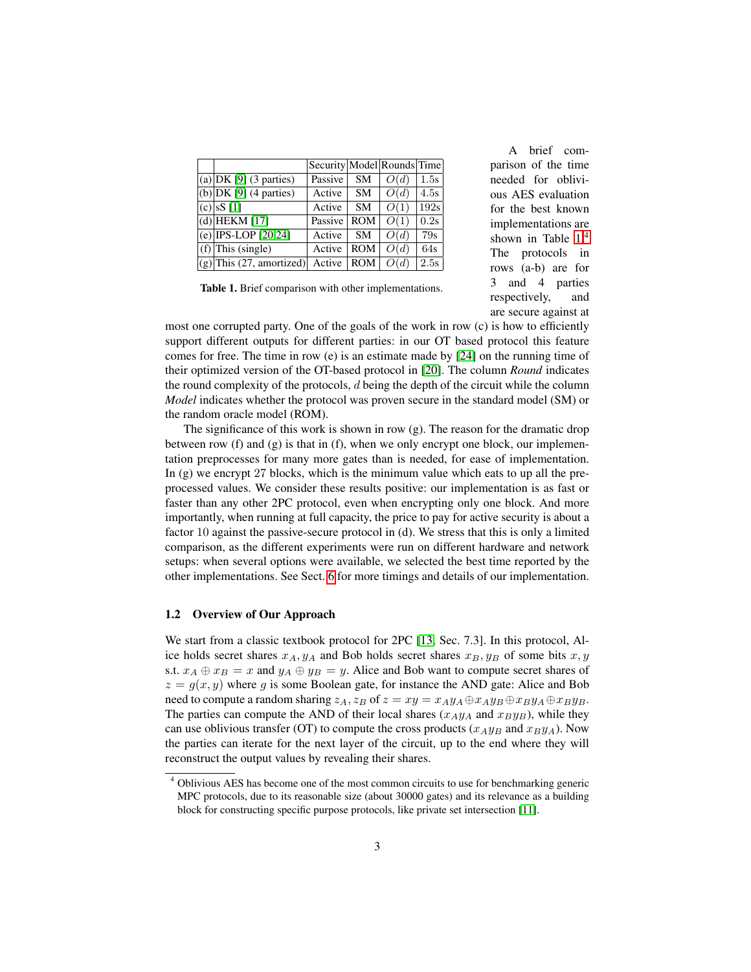|                                 | Security Model Rounds Time |            |      |      |
|---------------------------------|----------------------------|------------|------|------|
| (a) $DK[9]$ (3 parties)         | Passive                    | SM         | O(d) | 1.5s |
| $\boxed{(b)$ DK [9] (4 parties) | Active                     | SM         | O(d) | 4.5s |
| $\overline{c}$ (c) sS [1]       | Active                     | <b>SM</b>  | O(1) | 192s |
| $(d)$ HEKM [17]                 | Passive                    | <b>ROM</b> | O(1) | 0.2s |
| $(e)$ IPS-LOP [20,24]           | Active                     | <b>SM</b>  | O(d) | 79s  |
| $(f)$ This (single)             | Active                     | <b>ROM</b> | O(d) | 64s  |
| $(g)$ This (27, amortized)      | Active                     | <b>ROM</b> | O(d) | 2.5s |

A brief comparison of the time needed for oblivious AES evaluation for the best known implementations are shown in Table  $1<sup>4</sup>$  $1<sup>4</sup>$  $1<sup>4</sup>$ The protocols in rows (a-b) are for 3 and 4 parties respectively, and are secure against at

<span id="page-2-0"></span>Table 1. Brief comparison with other implementations.

most one corrupted party. One of the goals of the work in row (c) is how to efficiently support different outputs for different parties: in our OT based protocol this feature comes for free. The time in row (e) is an estimate made by [\[24\]](#page-19-16) on the running time of their optimized version of the OT-based protocol in [\[20\]](#page-19-3). The column *Round* indicates the round complexity of the protocols,  $d$  being the depth of the circuit while the column *Model* indicates whether the protocol was proven secure in the standard model (SM) or the random oracle model (ROM).

The significance of this work is shown in row (g). The reason for the dramatic drop between row (f) and (g) is that in (f), when we only encrypt one block, our implementation preprocesses for many more gates than is needed, for ease of implementation. In  $(g)$  we encrypt 27 blocks, which is the minimum value which eats to up all the preprocessed values. We consider these results positive: our implementation is as fast or faster than any other 2PC protocol, even when encrypting only one block. And more importantly, when running at full capacity, the price to pay for active security is about a factor 10 against the passive-secure protocol in (d). We stress that this is only a limited comparison, as the different experiments were run on different hardware and network setups: when several options were available, we selected the best time reported by the other implementations. See Sect. [6](#page-16-0) for more timings and details of our implementation.

### 1.2 Overview of Our Approach

We start from a classic textbook protocol for 2PC [\[13,](#page-18-8) Sec. 7.3]. In this protocol, Alice holds secret shares  $x_A, y_A$  and Bob holds secret shares  $x_B, y_B$  of some bits  $x, y$ s.t.  $x_A \oplus x_B = x$  and  $y_A \oplus y_B = y$ . Alice and Bob want to compute secret shares of  $z = g(x, y)$  where g is some Boolean gate, for instance the AND gate: Alice and Bob need to compute a random sharing  $z_A$ ,  $z_B$  of  $z = xy = x_Ay_A \oplus x_Ay_B \oplus x_By_A \oplus x_By_B$ . The parties can compute the AND of their local shares  $(x_A y_A$  and  $x_B y_B)$ , while they can use oblivious transfer (OT) to compute the cross products  $(x_A y_B \text{ and } x_B y_A)$ . Now the parties can iterate for the next layer of the circuit, up to the end where they will reconstruct the output values by revealing their shares.

<span id="page-2-1"></span><sup>4</sup> Oblivious AES has become one of the most common circuits to use for benchmarking generic MPC protocols, due to its reasonable size (about 30000 gates) and its relevance as a building block for constructing specific purpose protocols, like private set intersection [\[11\]](#page-18-9).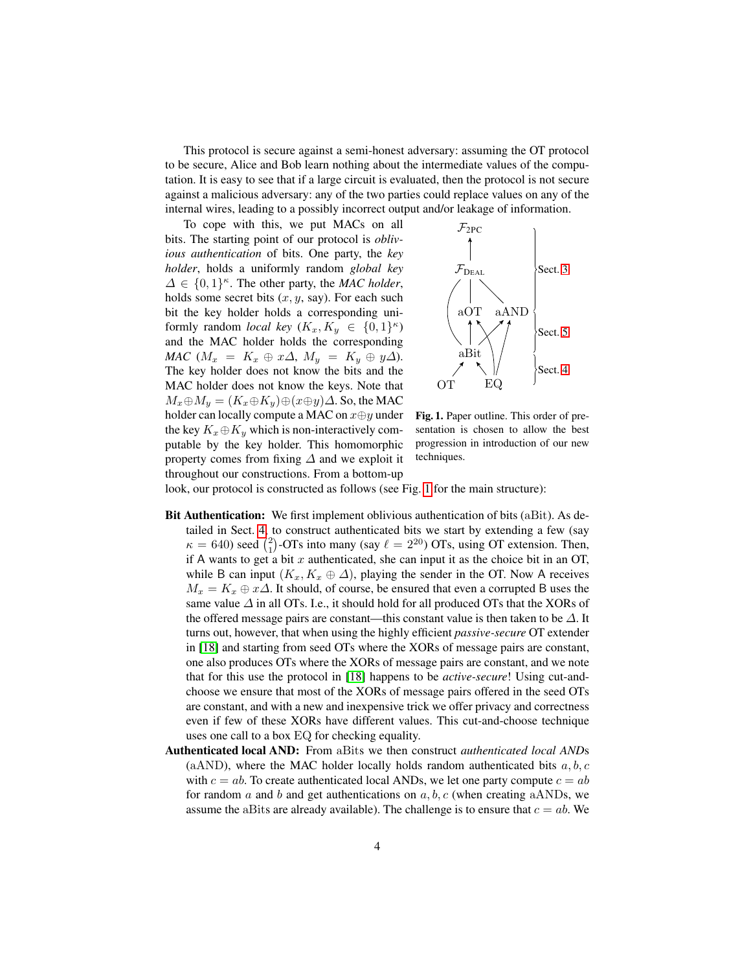This protocol is secure against a semi-honest adversary: assuming the OT protocol to be secure, Alice and Bob learn nothing about the intermediate values of the computation. It is easy to see that if a large circuit is evaluated, then the protocol is not secure against a malicious adversary: any of the two parties could replace values on any of the internal wires, leading to a possibly incorrect output and/or leakage of information.

To cope with this, we put MACs on all bits. The starting point of our protocol is *oblivious authentication* of bits. One party, the *key holder*, holds a uniformly random *global key*  $\Delta \in \{0,1\}^{\kappa}$ . The other party, the *MAC holder*, holds some secret bits  $(x, y, say)$ . For each such bit the key holder holds a corresponding uniformly random *local key*  $(K_x, K_y \in \{0, 1\}^{\kappa})$ and the MAC holder holds the corresponding *MAC*  $(M_x = K_x \oplus x \Delta, M_y = K_y \oplus y \Delta).$ The key holder does not know the bits and the MAC holder does not know the keys. Note that  $M_x \oplus M_y = (K_x \oplus K_y) \oplus (x \oplus y) \Delta$ . So, the MAC holder can locally compute a MAC on  $x \oplus y$  under the key  $K_x \oplus K_y$  which is non-interactively computable by the key holder. This homomorphic property comes from fixing  $\Delta$  and we exploit it throughout our constructions. From a bottom-up



<span id="page-3-0"></span>Fig. 1. Paper outline. This order of presentation is chosen to allow the best progression in introduction of our new techniques.

look, our protocol is constructed as follows (see Fig. [1](#page-3-0) for the main structure):

- Bit Authentication: We first implement oblivious authentication of bits (aBit). As detailed in Sect. [4,](#page-8-0) to construct authenticated bits we start by extending a few (say  $\kappa = 640$ ) seed  $\binom{2}{1}$ -OTs into many (say  $\ell = 2^{20}$ ) OTs, using OT extension. Then, if A wants to get a bit  $x$  authenticated, she can input it as the choice bit in an OT, while B can input  $(K_x, K_x \oplus \Delta)$ , playing the sender in the OT. Now A receives  $M_x = K_x \oplus x \Delta$ . It should, of course, be ensured that even a corrupted B uses the same value  $\Delta$  in all OTs. I.e., it should hold for all produced OTs that the XORs of the offered message pairs are constant—this constant value is then taken to be  $\Delta$ . It turns out, however, that when using the highly efficient *passive-secure* OT extender in [\[18\]](#page-19-1) and starting from seed OTs where the XORs of message pairs are constant, one also produces OTs where the XORs of message pairs are constant, and we note that for this use the protocol in [\[18\]](#page-19-1) happens to be *active-secure*! Using cut-andchoose we ensure that most of the XORs of message pairs offered in the seed OTs are constant, and with a new and inexpensive trick we offer privacy and correctness even if few of these XORs have different values. This cut-and-choose technique uses one call to a box EQ for checking equality.
- Authenticated local AND: From aBits we then construct *authenticated local AND*s (aAND), where the MAC holder locally holds random authenticated bits  $a, b, c$ with  $c = ab$ . To create authenticated local ANDs, we let one party compute  $c = ab$ . for random  $a$  and  $b$  and get authentications on  $a, b, c$  (when creating aANDs, we assume the aBits are already available). The challenge is to ensure that  $c = ab$ . We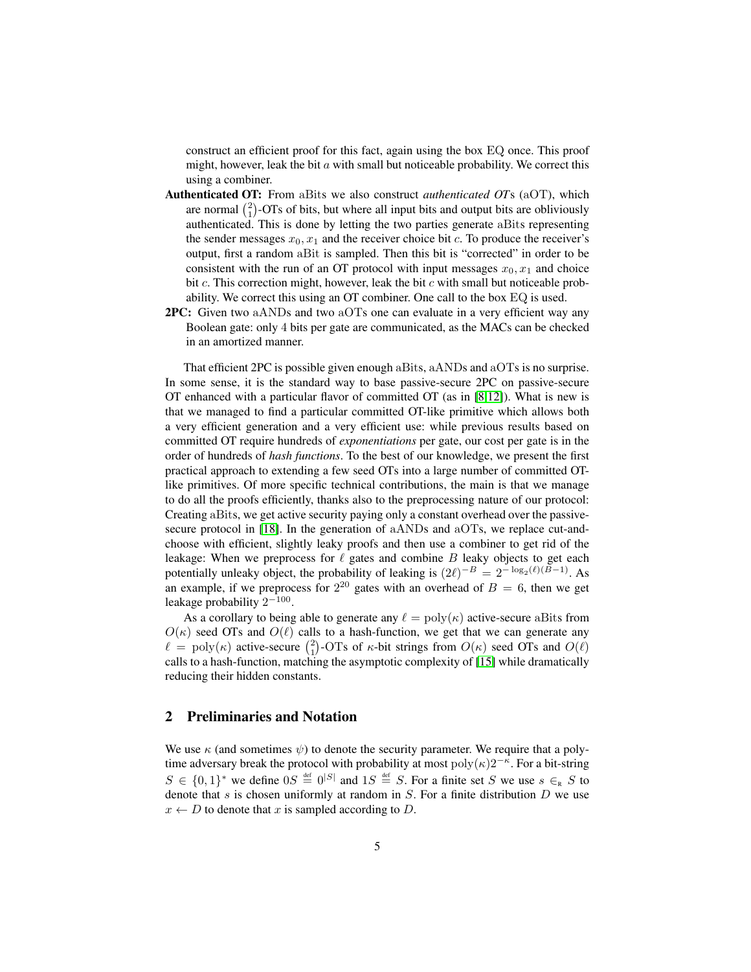construct an efficient proof for this fact, again using the box EQ once. This proof might, however, leak the bit  $\alpha$  with small but noticeable probability. We correct this using a combiner.

- Authenticated OT: From aBits we also construct *authenticated OT*s (aOT), which are normal  $\binom{2}{1}$ -OTs of bits, but where all input bits and output bits are obliviously authenticated. This is done by letting the two parties generate aBits representing the sender messages  $x_0, x_1$  and the receiver choice bit c. To produce the receiver's output, first a random aBit is sampled. Then this bit is "corrected" in order to be consistent with the run of an OT protocol with input messages  $x_0, x_1$  and choice bit  $c$ . This correction might, however, leak the bit  $c$  with small but noticeable probability. We correct this using an OT combiner. One call to the box EQ is used.
- 2PC: Given two aANDs and two aOTs one can evaluate in a very efficient way any Boolean gate: only 4 bits per gate are communicated, as the MACs can be checked in an amortized manner.

That efficient 2PC is possible given enough aBits, aANDs and aOTs is no surprise. In some sense, it is the standard way to base passive-secure 2PC on passive-secure OT enhanced with a particular flavor of committed OT (as in [\[8,](#page-18-10)[12\]](#page-18-11)). What is new is that we managed to find a particular committed OT-like primitive which allows both a very efficient generation and a very efficient use: while previous results based on committed OT require hundreds of *exponentiations* per gate, our cost per gate is in the order of hundreds of *hash functions*. To the best of our knowledge, we present the first practical approach to extending a few seed OTs into a large number of committed OTlike primitives. Of more specific technical contributions, the main is that we manage to do all the proofs efficiently, thanks also to the preprocessing nature of our protocol: Creating aBits, we get active security paying only a constant overhead over the passivesecure protocol in [\[18\]](#page-19-1). In the generation of aANDs and aOTs, we replace cut-andchoose with efficient, slightly leaky proofs and then use a combiner to get rid of the leakage: When we preprocess for  $\ell$  gates and combine B leaky objects to get each potentially unleaky object, the probability of leaking is  $(2\ell)^{-B} = 2^{-\log_2(\ell)(B-1)}$ . As an example, if we preprocess for  $2^{20}$  gates with an overhead of  $B = 6$ , then we get leakage probability  $2^{-100}$ .

As a corollary to being able to generate any  $\ell = \text{poly}(\kappa)$  active-secure aBits from  $O(\kappa)$  seed OTs and  $O(\ell)$  calls to a hash-function, we get that we can generate any  $\ell = \text{poly}(\kappa)$  active-secure  $\binom{2}{1}$ -OTs of  $\kappa$ -bit strings from  $O(\kappa)$  seed OTs and  $O(\ell)$ calls to a hash-function, matching the asymptotic complexity of [\[15\]](#page-18-1) while dramatically reducing their hidden constants.

## 2 Preliminaries and Notation

We use  $\kappa$  (and sometimes  $\psi$ ) to denote the security parameter. We require that a polytime adversary break the protocol with probability at most  $poly(\kappa)2^{-\kappa}$ . For a bit-string  $S \in \{0,1\}^*$  we define  $0S \stackrel{\text{def}}{=} 0^{|S|}$  and  $1S \stackrel{\text{def}}{=} S$ . For a finite set S we use  $s \in_R S$  to denote that  $s$  is chosen uniformly at random in  $S$ . For a finite distribution  $D$  we use  $x \leftarrow D$  to denote that x is sampled according to D.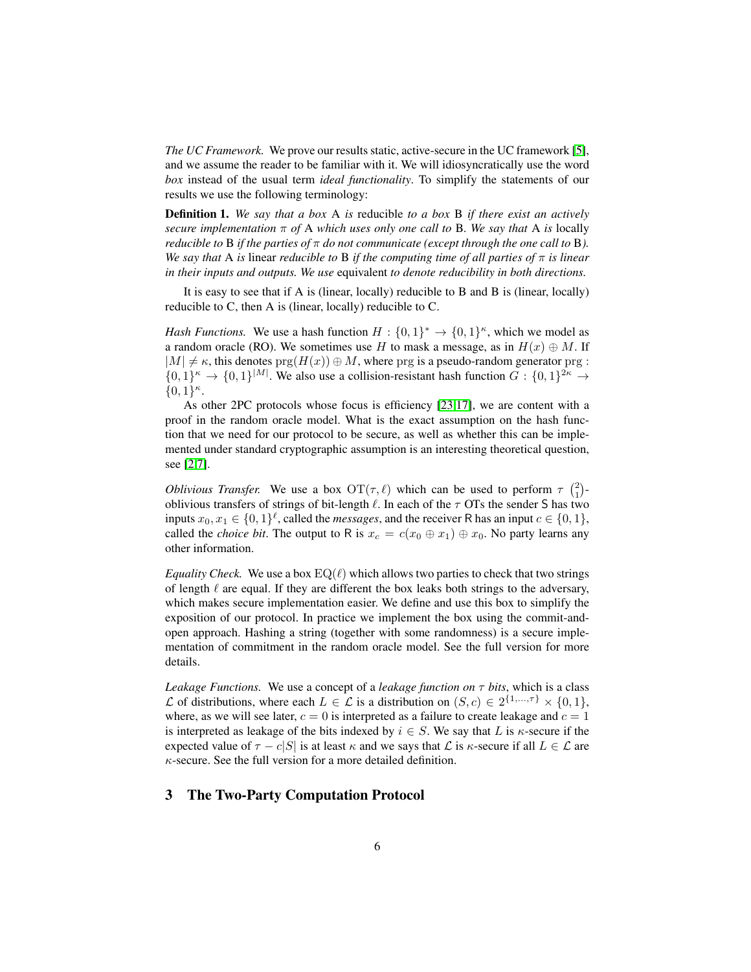<span id="page-5-1"></span>*The UC Framework.* We prove our results static, active-secure in the UC framework [\[5\]](#page-18-12), and we assume the reader to be familiar with it. We will idiosyncratically use the word *box* instead of the usual term *ideal functionality*. To simplify the statements of our results we use the following terminology:

Definition 1. *We say that a box* A *is* reducible *to a box* B *if there exist an actively secure implementation* π *of* A *which uses only one call to* B*. We say that* A *is* locally *reducible to*  $\bf{B}$  *if the parties of*  $\pi$  *do not communicate (except through the one call to*  $\bf{B}$ ). *We say that* A *is* linear *reducible to* B *if the computing time of all parties of* π *is linear in their inputs and outputs. We use* equivalent *to denote reducibility in both directions.*

It is easy to see that if A is (linear, locally) reducible to B and B is (linear, locally) reducible to C, then A is (linear, locally) reducible to C.

*Hash Functions.* We use a hash function  $H: \{0,1\}^* \to \{0,1\}^{\kappa}$ , which we model as a random oracle (RO). We sometimes use H to mask a message, as in  $H(x) \oplus M$ . If  $|M| \neq \kappa$ , this denotes  $\text{prg}(H(x)) \oplus M$ , where  $\text{prg}$  is a pseudo-random generator  $\text{prg}$ :  $\{0,1\}^{\kappa} \to \{0,1\}^{|M|}$ . We also use a collision-resistant hash function  $G: \{0,1\}^{2\kappa} \to$  ${0,1}^{\kappa}.$ 

As other 2PC protocols whose focus is efficiency [\[23](#page-19-7)[,17\]](#page-19-13), we are content with a proof in the random oracle model. What is the exact assumption on the hash function that we need for our protocol to be secure, as well as whether this can be implemented under standard cryptographic assumption is an interesting theoretical question, see [\[2](#page-18-13)[,7\]](#page-18-14).

*Oblivious Transfer.* We use a box  $OT(\tau, \ell)$  which can be used to perform  $\tau \begin{pmatrix} 2 \\ 1 \end{pmatrix}$ oblivious transfers of strings of bit-length  $\ell$ . In each of the  $\tau$  OTs the sender S has two inputs  $x_0, x_1 \in \{0, 1\}^{\ell}$ , called the *messages*, and the receiver R has an input  $c \in \{0, 1\}$ , called the *choice bit*. The output to R is  $x_c = c(x_0 \oplus x_1) \oplus x_0$ . No party learns any other information.

*Equality Check.* We use a box  $EQ(\ell)$  which allows two parties to check that two strings of length  $\ell$  are equal. If they are different the box leaks both strings to the adversary, which makes secure implementation easier. We define and use this box to simplify the exposition of our protocol. In practice we implement the box using the commit-andopen approach. Hashing a string (together with some randomness) is a secure implementation of commitment in the random oracle model. See the full version for more details.

*Leakage Functions.* We use a concept of a *leakage function on* τ *bits*, which is a class L of distributions, where each  $L \in \mathcal{L}$  is a distribution on  $(S, c) \in 2^{\{1, ..., \tau\}} \times \{0, 1\}$ , where, as we will see later,  $c = 0$  is interpreted as a failure to create leakage and  $c = 1$ is interpreted as leakage of the bits indexed by  $i \in S$ . We say that L is  $\kappa$ -secure if the expected value of  $\tau - c|S|$  is at least  $\kappa$  and we says that  $\mathcal L$  is  $\kappa$ -secure if all  $L \in \mathcal L$  are  $\kappa$ -secure. See the full version for a more detailed definition.

## <span id="page-5-0"></span>3 The Two-Party Computation Protocol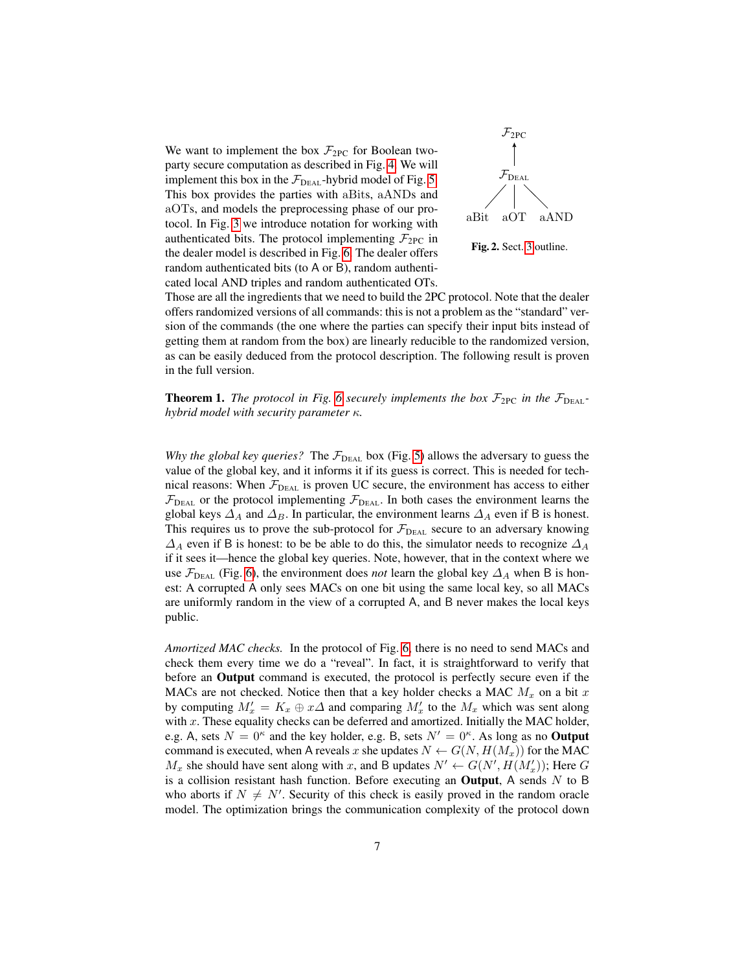We want to implement the box  $\mathcal{F}_{2PC}$  for Boolean twoparty secure computation as described in Fig. [4.](#page-7-0) We will implement this box in the  $\mathcal{F}_{\text{DEAL}}$ -hybrid model of Fig. [5.](#page-8-1) This box provides the parties with aBits, aANDs and aOTs, and models the preprocessing phase of our protocol. In Fig. [3](#page-7-1) we introduce notation for working with authenticated bits. The protocol implementing  $\mathcal{F}_{2PC}$  in the dealer model is described in Fig. [6.](#page-9-0) The dealer offers random authenticated bits (to A or B), random authenticated local AND triples and random authenticated OTs.



Fig. 2. Sect. [3](#page-5-0) outline.

Those are all the ingredients that we need to build the 2PC protocol. Note that the dealer offers randomized versions of all commands: this is not a problem as the "standard" version of the commands (the one where the parties can specify their input bits instead of getting them at random from the box) are linearly reducible to the randomized version, as can be easily deduced from the protocol description. The following result is proven in the full version.

**Theorem 1.** The protocol in Fig. [6](#page-9-0) securely implements the box  $\mathcal{F}_{2PC}$  in the  $\mathcal{F}_{DEAL}$ *hybrid model with security parameter* κ*.*

*Why the global key queries?* The  $\mathcal{F}_{DEAL}$  box (Fig. [5\)](#page-8-1) allows the adversary to guess the value of the global key, and it informs it if its guess is correct. This is needed for technical reasons: When  $\mathcal{F}_{\text{DEAL}}$  is proven UC secure, the environment has access to either  $\mathcal{F}_{\text{DEAL}}$  or the protocol implementing  $\mathcal{F}_{\text{DEAL}}$ . In both cases the environment learns the global keys  $\Delta_A$  and  $\Delta_B$ . In particular, the environment learns  $\Delta_A$  even if B is honest. This requires us to prove the sub-protocol for  $\mathcal{F}_{\text{DEAL}}$  secure to an adversary knowing  $\Delta_A$  even if B is honest: to be be able to do this, the simulator needs to recognize  $\Delta_A$ if it sees it—hence the global key queries. Note, however, that in the context where we use  $\mathcal{F}_{\text{DEAL}}$  (Fig. [6\)](#page-9-0), the environment does *not* learn the global key  $\Delta_A$  when B is honest: A corrupted A only sees MACs on one bit using the same local key, so all MACs are uniformly random in the view of a corrupted A, and B never makes the local keys public.

*Amortized MAC checks.* In the protocol of Fig. [6,](#page-9-0) there is no need to send MACs and check them every time we do a "reveal". In fact, it is straightforward to verify that before an Output command is executed, the protocol is perfectly secure even if the MACs are not checked. Notice then that a key holder checks a MAC  $M_x$  on a bit x by computing  $M'_x = K_x \oplus x\Delta$  and comparing  $M'_x$  to the  $M_x$  which was sent along with  $x$ . These equality checks can be deferred and amortized. Initially the MAC holder, e.g. A, sets  $N = 0^{\kappa}$  and the key holder, e.g. B, sets  $N' = 0^{\kappa}$ . As long as no **Output** command is executed, when A reveals x she updates  $N \leftarrow G(N, H(M<sub>x</sub>))$  for the MAC  $M_x$  she should have sent along with x, and B updates  $N' \leftarrow G(N', H(M'_x))$ ; Here G is a collision resistant hash function. Before executing an **Output**, A sends  $N$  to B who aborts if  $N \neq N'$ . Security of this check is easily proved in the random oracle model. The optimization brings the communication complexity of the protocol down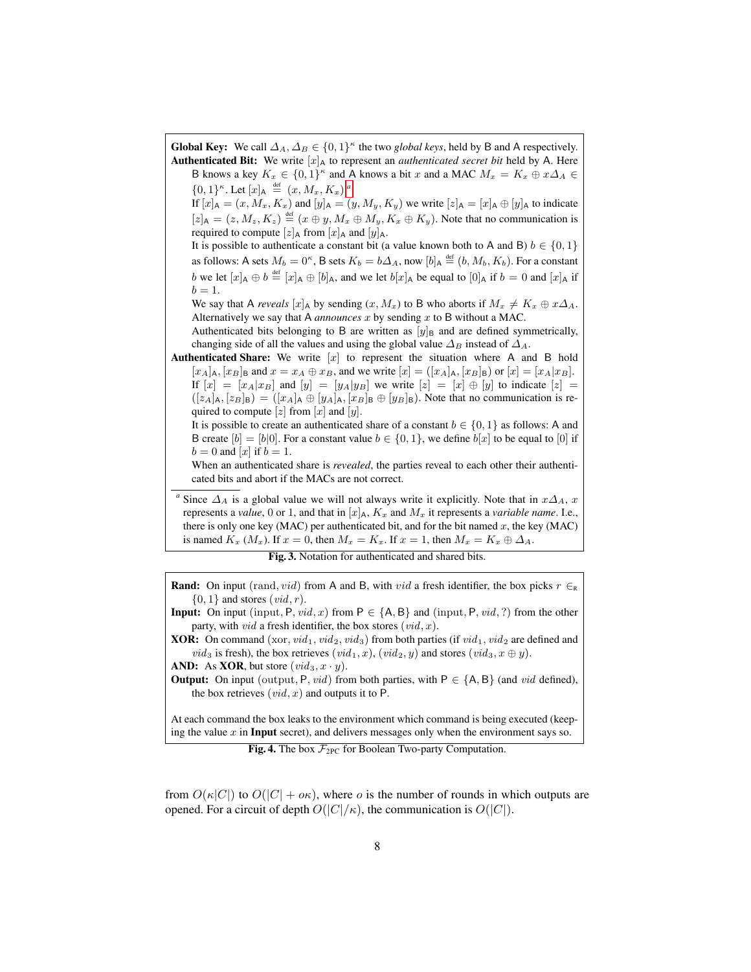Global Key: We call  $\Delta_A$ ,  $\Delta_B \in \{0,1\}^{\kappa}$  the two *global keys*, held by B and A respectively. Authenticated Bit: We write  $[x]_A$  to represent an *authenticated secret bit* held by A. Here B knows a key  $K_x \in \{0,1\}^{\kappa}$  and A knows a bit x and a MAC  $M_x = K_x \oplus x \Delta_A \in$  ${0,1}^{\kappa}$  ${0,1}^{\kappa}$  ${0,1}^{\kappa}$ . Let  $[x]_A \stackrel{\text{def}}{=} (x, M_x, K_x)$ .<sup>*a*</sup> If  $[x]_A = (x, M_x, K_x)$  and  $[y]_A = (y, M_y, K_y)$  we write  $[z]_A = [x]_A \oplus [y]_A$  to indicate  $[z]_A = (z, M_z, K_z) \stackrel{\text{def}}{=} (x \oplus y, M_x \oplus M_y, K_x \oplus K_y)$ . Note that no communication is required to compute  $[z]_A$  from  $[x]_A$  and  $[y]_A$ . It is possible to authenticate a constant bit (a value known both to A and B)  $b \in \{0, 1\}$ as follows: A sets  $M_b = 0^{\kappa}$ , B sets  $K_b = b\Delta_A$ , now  $[b]_A \stackrel{\text{def}}{=} (b, M_b, K_b)$ . For a constant b we let  $[x]_A \oplus b \stackrel{\text{def}}{=} [x]_A \oplus [b]_A$ , and we let  $b[x]_A$  be equal to  $[0]_A$  if  $b = 0$  and  $[x]_A$  if  $b=1.$ We say that A *reveals*  $[x]_A$  by sending  $(x, M_x)$  to B who aborts if  $M_x \neq K_x \oplus x\Delta_A$ . Alternatively we say that A *announces*  $x$  by sending  $x$  to B without a MAC. Authenticated bits belonging to B are written as  $[y]_B$  and are defined symmetrically, changing side of all the values and using the global value  $\Delta_B$  instead of  $\Delta_A$ . **Authenticated Share:** We write  $[x]$  to represent the situation where A and B hold  $[x_A]_A$ ,  $[x_B]_B$  and  $x = x_A \oplus x_B$ , and we write  $[x] = ([x_A]_A, [x_B]_B)$  or  $[x] = [x_A]x_B$ . If  $[x] = [x_A | x_B]$  and  $[y] = [y_A | y_B]$  we write  $[z] = [x] \oplus [y]$  to indicate  $[z] =$  $([z_A]_A, [z_B]_B) = ([x_A]_A \oplus [y_A]_A, [x_B]_B \oplus [y_B]_B)$ . Note that no communication is required to compute  $[z]$  from  $[x]$  and  $[y]$ . It is possible to create an authenticated share of a constant  $b \in \{0, 1\}$  as follows: A and B create  $[b] = [b|0]$ . For a constant value  $b \in \{0, 1\}$ , we define  $b[x]$  to be equal to [0] if  $b = 0$  and  $[x]$  if  $b = 1$ . When an authenticated share is *revealed*, the parties reveal to each other their authenticated bits and abort if the MACs are not correct.

<span id="page-7-2"></span><sup>*a*</sup> Since  $\Delta_A$  is a global value we will not always write it explicitly. Note that in  $x\Delta_A$ , x represents a *value*, 0 or 1, and that in  $[x]_A$ ,  $K_x$  and  $M_x$  it represents a *variable name*. I.e., there is only one key (MAC) per authenticated bit, and for the bit named  $x$ , the key (MAC) is named  $K_x$  ( $M_x$ ). If  $x = 0$ , then  $M_x = K_x$ . If  $x = 1$ , then  $M_x = K_x \oplus \Delta_A$ .

<span id="page-7-1"></span>Fig. 3. Notation for authenticated and shared bits.

**Rand:** On input (rand, *vid*) from A and B, with *vid* a fresh identifier, the box picks  $r \in \mathbb{R}$  $\{0, 1\}$  and stores  $(vid, r)$ .

**Input:** On input (input, P,  $vid$ , x) from  $P \in \{A, B\}$  and (input, P,  $vid$ , ?) from the other party, with  $vid$  a fresh identifier, the box stores  $(vid, x)$ .

**XOR:** On command  $(xor, vid_1, vid_2, vid_3)$  from both parties (if  $vid_1, vid_2$  are defined and *vid*<sub>3</sub> is fresh), the box retrieves  $(vid_1, x)$ ,  $(vid_2, y)$  and stores  $(vid_3, x \oplus y)$ .

AND: As XOR, but store  $(vid_3, x \cdot y)$ .

**Output:** On input (output, P, *vid*) from both parties, with  $P \in \{A, B\}$  (and *vid* defined), the box retrieves  $(vid, x)$  and outputs it to P.

At each command the box leaks to the environment which command is being executed (keeping the value  $x$  in **Input** secret), and delivers messages only when the environment says so.

<span id="page-7-0"></span>Fig. 4. The box  $\mathcal{F}_{2PC}$  for Boolean Two-party Computation.

from  $O(\kappa|C|)$  to  $O(|C| + \omega \kappa)$ , where  $\omega$  is the number of rounds in which outputs are opened. For a circuit of depth  $O(|C|/\kappa)$ , the communication is  $O(|C|)$ .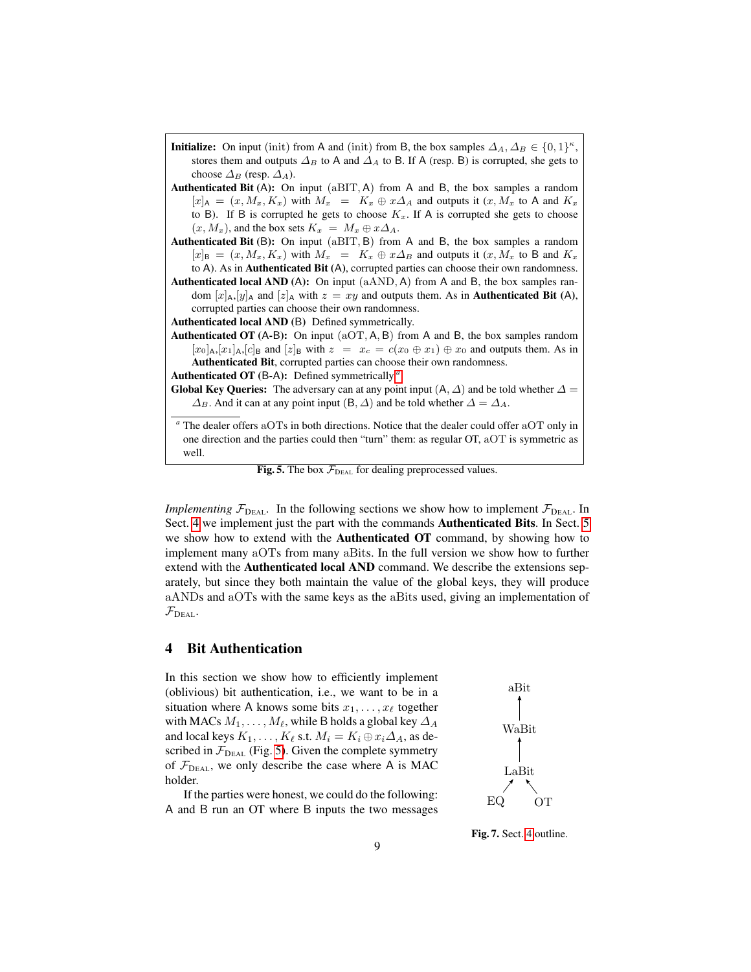- **Initialize:** On input (init) from A and (init) from B, the box samples  $\Delta_A, \Delta_B \in \{0, 1\}^{\kappa}$ , stores them and outputs  $\Delta_B$  to A and  $\Delta_A$  to B. If A (resp. B) is corrupted, she gets to choose  $\Delta_B$  (resp.  $\Delta_A$ ).
- **Authenticated Bit (A):** On input  $(aBIT, A)$  from A and B, the box samples a random  $[x]_A = (x, M_x, K_x)$  with  $M_x = K_x \oplus x \Delta_A$  and outputs it  $(x, M_x$  to A and  $K_x$ to B). If B is corrupted he gets to choose  $K_x$ . If A is corrupted she gets to choose  $(x, M_x)$ , and the box sets  $K_x = M_x \oplus x \Delta_A$ .
- Authenticated Bit (B): On input (aBIT, B) from A and B, the box samples a random  $[x]_B = (x, M_x, K_x)$  with  $M_x = K_x \oplus x \Delta_B$  and outputs it  $(x, M_x)$  to B and  $K_x$ to A). As in Authenticated Bit (A), corrupted parties can choose their own randomness. **Authenticated local AND (A):** On input  $(aAND, A)$  from A and B, the box samples ran-
- dom  $[x]_A$ ,  $[y]_A$  and  $[z]_A$  with  $z = xy$  and outputs them. As in **Authenticated Bit** (A), corrupted parties can choose their own randomness.
- Authenticated local AND (B) Defined symmetrically.
- **Authenticated OT** (A-B): On input  $(aOT, A, B)$  from A and B, the box samples random  $[x_0]_A, [x_1]_A, [c]_B$  and  $[z]_B$  with  $z = x_c = c(x_0 \oplus x_1) \oplus x_0$  and outputs them. As in Authenticated Bit, corrupted parties can choose their own randomness. Authenticated OT (B-A): Defined symmetrically.*[a](#page-8-2)*
- **Global Key Queries:** The adversary can at any point input  $(A, \Delta)$  and be told whether  $\Delta =$  $\Delta_B$ . And it can at any point input  $(B, \Delta)$  and be told whether  $\Delta = \Delta_A$ .

<span id="page-8-2"></span>*<sup>a</sup>* The dealer offers aOTs in both directions. Notice that the dealer could offer aOT only in one direction and the parties could then "turn" them: as regular OT, aOT is symmetric as well.

<span id="page-8-1"></span>Fig. 5. The box  $\mathcal{F}_{\text{DEAL}}$  for dealing preprocessed values.

*Implementing*  $\mathcal{F}_{\text{DEAL}}$ . In the following sections we show how to implement  $\mathcal{F}_{\text{DEAL}}$ . In Sect. [4](#page-8-0) we implement just the part with the commands Authenticated Bits. In Sect. [5](#page-13-0) we show how to extend with the Authenticated OT command, by showing how to implement many aOTs from many aBits. In the full version we show how to further extend with the Authenticated local AND command. We describe the extensions separately, but since they both maintain the value of the global keys, they will produce aANDs and aOTs with the same keys as the aBits used, giving an implementation of  $\mathcal{F}_{\text{DEAL}}$ .

## <span id="page-8-0"></span>4 Bit Authentication

In this section we show how to efficiently implement (oblivious) bit authentication, i.e., we want to be in a situation where A knows some bits  $x_1, \ldots, x_\ell$  together with MACs  $M_1, \ldots, M_\ell$ , while B holds a global key  $\Delta_A$ and local keys  $K_1, \ldots, K_\ell$  s.t.  $M_i = K_i \oplus x_i \Delta_A$ , as described in  $\mathcal{F}_{\text{DEAL}}$  (Fig. [5\)](#page-8-1). Given the complete symmetry of  $\mathcal{F}_{\text{DEAL}}$ , we only describe the case where A is MAC holder.

If the parties were honest, we could do the following: A and B run an OT where B inputs the two messages



Fig. 7. Sect. [4](#page-8-0) outline.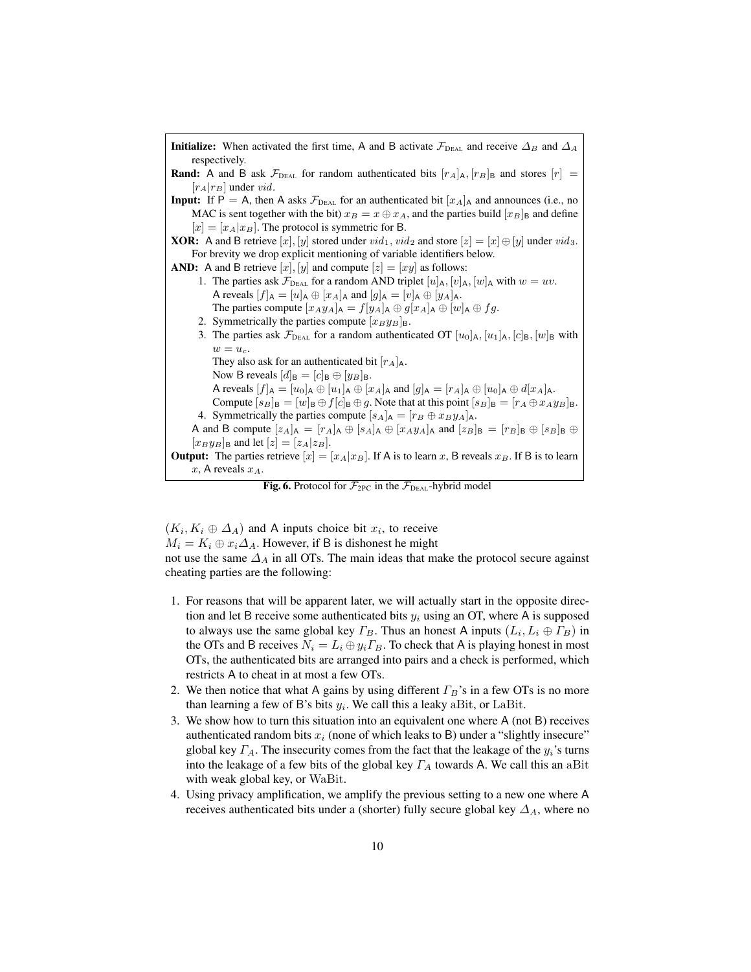**Initialize:** When activated the first time, A and B activate  $\mathcal{F}_{\text{DEAL}}$  and receive  $\Delta_B$  and  $\Delta_A$ respectively. **Rand:** A and B ask  $\mathcal{F}_{\text{DEAL}}$  for random authenticated bits  $[r_A]_A$ ,  $[r_B]_B$  and stores  $[r]$  =  $[r_A|r_B]$  under *vid*. **Input:** If P = A, then A asks  $\mathcal{F}_{\text{DEAL}}$  for an authenticated bit  $[x_A]_A$  and announces (i.e., no MAC is sent together with the bit)  $x_B = x \oplus x_A$ , and the parties build  $[x_B]_B$  and define  $[x] = [x_A | x_B]$ . The protocol is symmetric for B. **XOR:** A and B retrieve  $[x]$ ,  $[y]$  stored under  $vid_1$ ,  $vid_2$  and store  $[z] = [x] \oplus [y]$  under  $vid_3$ . For brevity we drop explicit mentioning of variable identifiers below. **AND:** A and B retrieve  $[x]$ ,  $[y]$  and compute  $[z] = [xy]$  as follows: 1. The parties ask  $\mathcal{F}_{\text{DEAL}}$  for a random AND triplet  $[u]_A$ ,  $[v]_A$ ,  $[w]_A$  with  $w = uv$ . A reveals  $[f]_A = [u]_A \oplus [x_A]_A$  and  $[g]_A = [v]_A \oplus [y_A]_A$ . The parties compute  $[x_Ay_A]_A = f[y_A]_A \oplus g[x_A]_A \oplus [w]_A \oplus fg.$ 2. Symmetrically the parties compute  $[x_B y_B]_B$ . 3. The parties ask  $\mathcal{F}_{\text{DEAL}}$  for a random authenticated OT  $[u_0]_A$ ,  $[u_1]_A$ ,  $[c]_B$ ,  $[w]_B$  with  $w = u_c$ . They also ask for an authenticated bit  $[r_A]_A$ . Now B reveals  $[d]_B = [c]_B \oplus [y_B]_B$ . A reveals  $[f]_A = [u_0]_A \oplus [u_1]_A \oplus [x_A]_A$  and  $[g]_A = [r_A]_A \oplus [u_0]_A \oplus d[x_A]_A$ . Compute  $[s_B]_B = [w]_B \oplus f[c]_B \oplus g$ . Note that at this point  $[s_B]_B = [r_A \oplus x_A y_B]_B$ . 4. Symmetrically the parties compute  $[s_A]_A = [r_B \oplus x_B y_A]_A$ . A and B compute  $[z_A]_A = [r_A]_A \oplus [s_A]_A \oplus [x_Ay_A]_A$  and  $[z_B]_B = [r_B]_B \oplus [s_B]_B \oplus$  $[x_B y_B]_B$  and let  $[z] = [z_A | z_B].$ **Output:** The parties retrieve  $[x] = [x_A | x_B]$ . If A is to learn x, B reveals  $x_B$ . If B is to learn  $x, A$  reveals  $x_A$ .

<span id="page-9-0"></span>Fig. 6. Protocol for  $\mathcal{F}_{2PC}$  in the  $\mathcal{F}_{DEAL}$ -hybrid model

 $(K_i, K_i \oplus \Delta_A)$  and A inputs choice bit  $x_i$ , to receive  $M_i = K_i \oplus x_i \Delta_A$ . However, if B is dishonest he might

not use the same  $\Delta_A$  in all OTs. The main ideas that make the protocol secure against cheating parties are the following:

- 1. For reasons that will be apparent later, we will actually start in the opposite direction and let B receive some authenticated bits  $y_i$  using an OT, where A is supposed to always use the same global key  $\Gamma_B$ . Thus an honest A inputs  $(L_i, L_i \oplus \Gamma_B)$  in the OTs and B receives  $N_i = L_i \oplus y_i \Gamma_B$ . To check that A is playing honest in most OTs, the authenticated bits are arranged into pairs and a check is performed, which restricts A to cheat in at most a few OTs.
- 2. We then notice that what A gains by using different  $\Gamma_B$ 's in a few OTs is no more than learning a few of B's bits  $y_i$ . We call this a leaky aBit, or LaBit.
- 3. We show how to turn this situation into an equivalent one where A (not B) receives authenticated random bits  $x_i$  (none of which leaks to B) under a "slightly insecure" global key  $\Gamma_A$ . The insecurity comes from the fact that the leakage of the  $y_i$ 's turns into the leakage of a few bits of the global key  $\Gamma_A$  towards A. We call this an aBit with weak global key, or WaBit.
- 4. Using privacy amplification, we amplify the previous setting to a new one where A receives authenticated bits under a (shorter) fully secure global key  $\Delta_A$ , where no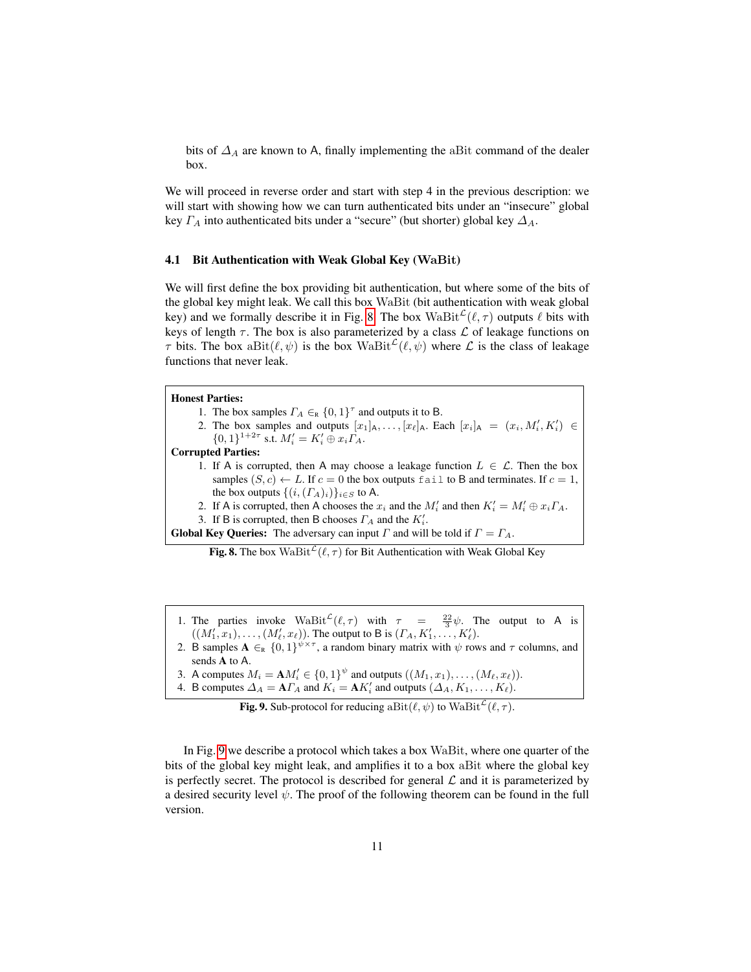bits of  $\Delta_A$  are known to A, finally implementing the aBit command of the dealer box.

We will proceed in reverse order and start with step 4 in the previous description: we will start with showing how we can turn authenticated bits under an "insecure" global key  $\Gamma_A$  into authenticated bits under a "secure" (but shorter) global key  $\Delta_A$ .

#### 4.1 Bit Authentication with Weak Global Key (WaBit)

We will first define the box providing bit authentication, but where some of the bits of the global key might leak. We call this box WaBit (bit authentication with weak global key) and we formally describe it in Fig. [8.](#page-10-0) The box  $Wabit^{\mathcal{L}}(\ell, \tau)$  outputs  $\ell$  bits with keys of length  $\tau$ . The box is also parameterized by a class  $\mathcal L$  of leakage functions on  $\tau$  bits. The box  $a\text{Bit}(\ell, \psi)$  is the box  $\text{WaBit}^{\mathcal{L}}(\ell, \psi)$  where  $\mathcal L$  is the class of leakage functions that never leak.

#### Honest Parties:

| 1. The box samples $\Gamma_A \in_R \{0,1\}^{\tau}$ and outputs it to B.                                    |
|------------------------------------------------------------------------------------------------------------|
| 2. The box samples and outputs $[x_1]_A, \ldots, [x_\ell]_A$ . Each $[x_i]_A = (x_i, M'_i, K'_i) \in$      |
| $\{0,1\}^{1+2\tau}$ s.t. $M'_i = K'_i \oplus x_i \Gamma_A$ .                                               |
| <b>Corrupted Parties:</b>                                                                                  |
| 1. If A is corrupted, then A may choose a leakage function $L \in \mathcal{L}$ . Then the box              |
| samples $(S, c) \leftarrow L$ . If $c = 0$ the box outputs fail to B and terminates. If $c = 1$ ,          |
| the box outputs $\{(i,(T_A)_i)\}_{i\in S}$ to A.                                                           |
| 2. If A is corrupted, then A chooses the $x_i$ and the $M'_i$ and then $K'_i = M'_i \oplus x_i \Gamma_A$ . |
| 3. If B is corrupted, then B chooses $\Gamma_A$ and the $K'_i$ .                                           |
| <b>Global Key Queries:</b> The adversary can input $\Gamma$ and will be told if $\Gamma = \Gamma_A$ .      |

<span id="page-10-0"></span>Fig. 8. The box  $\text{WaBit}^{\mathcal{L}}(\ell, \tau)$  for Bit Authentication with Weak Global Key

- 1. The parties invoke  $Wabit^{\mathcal{L}}(\ell, \tau)$  with  $\tau = \frac{22}{3}\psi$ . The output to A is  $((M'_1, x_1), \ldots, (M'_\ell, x_\ell))$ . The output to B is  $(T_A, K'_1, \ldots, K'_\ell)$ .
- 2. B samples  $A \in_R \{0,1\}^{\psi \times \tau}$ , a random binary matrix with  $\psi$  rows and  $\tau$  columns, and sends A to A.
- 3. A computes  $M_i = AM'_i \in \{0,1\}^{\psi}$  and outputs  $((M_1, x_1), \ldots, (M_{\ell}, x_{\ell}))$ .
- 4. B computes  $\Delta_A = A\Gamma_A$  and  $K_i = AK'_i$  and outputs  $(\Delta_A, K_1, \dots, K_\ell)$ .

<span id="page-10-1"></span>**Fig. 9.** Sub-protocol for reducing  $a\text{Bit}(\ell, \psi)$  to  $\text{WaBit}^{\mathcal{L}}(\ell, \tau)$ .

In Fig. [9](#page-10-1) we describe a protocol which takes a box WaBit, where one quarter of the bits of the global key might leak, and amplifies it to a box aBit where the global key is perfectly secret. The protocol is described for general  $\mathcal L$  and it is parameterized by a desired security level  $\psi$ . The proof of the following theorem can be found in the full version.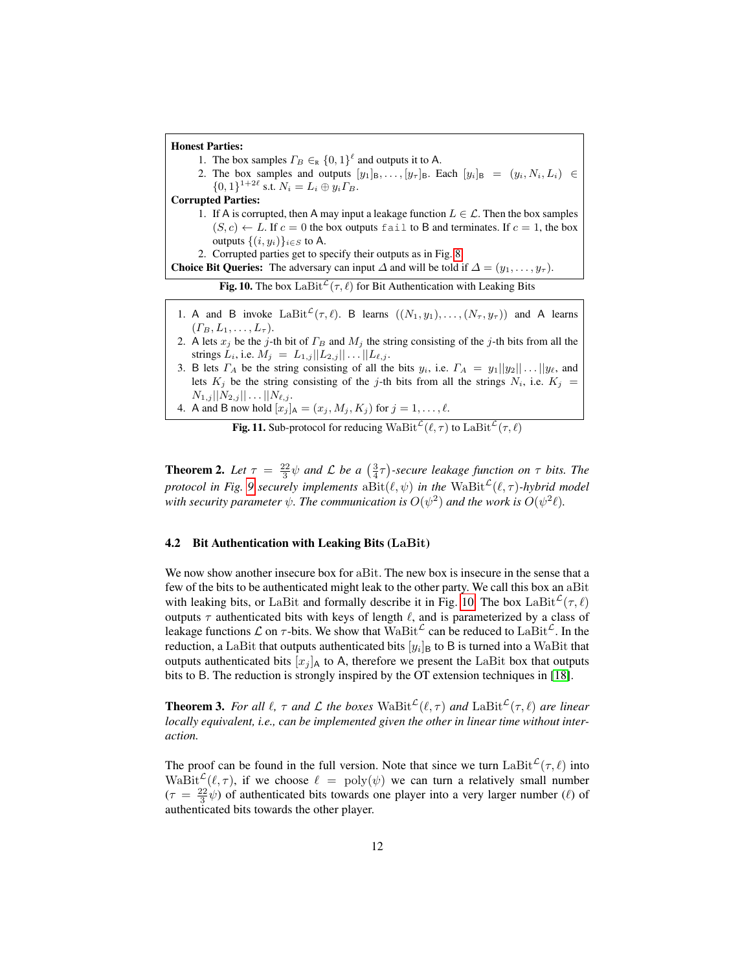Honest Parties: 1. The box samples  $\Gamma_B \in_R \{0,1\}^{\ell}$  and outputs it to A. 2. The box samples and outputs  $[y_1]_B, \ldots, [y_\tau]_B$ . Each  $[y_i]_B = (y_i, N_i, L_i) \in$  $\{0,1\}^{1+2\ell}$  s.t.  $N_i = L_i \oplus y_i \Gamma_B$ . Corrupted Parties: 1. If A is corrupted, then A may input a leakage function  $L \in \mathcal{L}$ . Then the box samples  $(S, c) \leftarrow L$ . If  $c = 0$  the box outputs fail to B and terminates. If  $c = 1$ , the box outputs  $\{(i, y_i)\}_{i \in S}$  to A. 2. Corrupted parties get to specify their outputs as in Fig. [8.](#page-10-0) **Choice Bit Queries:** The adversary can input  $\Delta$  and will be told if  $\Delta = (y_1, \ldots, y_\tau)$ . Fig. 10. The box LaBit $\mathcal{L}(\tau, \ell)$  for Bit Authentication with Leaking Bits 1. A and B invoke  $\text{LaBit}^{\mathcal{L}}(\tau, \ell)$ . B learns  $((N_1, y_1), \ldots, (N_\tau, y_\tau))$  and A learns  $(T_B, L_1, \ldots, L_\tau).$ 2. A lets  $x_j$  be the j-th bit of  $\Gamma_B$  and  $M_j$  the string consisting of the j-th bits from all the

- <span id="page-11-0"></span>strings  $L_i$ , i.e.  $M_j = L_{1,j} ||L_{2,j} || \dots || L_{\ell,j}$ . 3. B lets  $\Gamma_A$  be the string consisting of all the bits  $y_i$ , i.e.  $\Gamma_A = y_1||y_2|| \dots ||y_\ell$ , and lets  $K_j$  be the string consisting of the j-th bits from all the strings  $N_i$ , i.e.  $K_j$  =  $N_{1,j} || N_{2,j} || \ldots || N_{\ell,j}$ .
- 4. A and B now hold  $[x_j]_A = (x_j, M_j, K_j)$  for  $j = 1, \ldots, \ell$ .

Fig. 11. Sub-protocol for reducing  $Wabit^{\mathcal{L}}(\ell, \tau)$  to  $\text{LaBit}^{\mathcal{L}}(\tau, \ell)$ 

**Theorem 2.** Let  $\tau = \frac{22}{3}\psi$  and  $\mathcal{L}$  be a  $(\frac{3}{4}\tau)$ -secure leakage function on  $\tau$  bits. The *protocol in Fig. [9](#page-10-1) securely implements*  $aBit(\ell, \psi)$  *in the*  $WaBit^{\mathcal{L}}(\ell, \tau)$ *-hybrid model* with security parameter  $\psi$ . The communication is  $O(\psi^2)$  and the work is  $O(\psi^2\ell)$ .

#### 4.2 Bit Authentication with Leaking Bits (LaBit)

We now show another insecure box for aBit. The new box is insecure in the sense that a few of the bits to be authenticated might leak to the other party. We call this box an aBit with leaking bits, or LaBit and formally describe it in Fig. [10.](#page-11-0) The box LaBit  $\mathcal{L}(\tau, \ell)$ outputs  $\tau$  authenticated bits with keys of length  $\ell$ , and is parameterized by a class of leakage functions  $\mathcal L$  on  $\tau$ -bits. We show that  $Wabit^{\mathcal L}$  can be reduced to  $\text{LaBit}^{\mathcal L}$ . In the reduction, a LaBit that outputs authenticated bits  $[y_i]_\mathsf{B}$  to B is turned into a WaBit that outputs authenticated bits  $[x_j]_A$  to A, therefore we present the LaBit box that outputs bits to B. The reduction is strongly inspired by the OT extension techniques in [\[18\]](#page-19-1).

**Theorem 3.** For all  $\ell$ ,  $\tau$  and  $\mathcal{L}$  the boxes  $\text{WaBit}^{\mathcal{L}}(\ell, \tau)$  and  $\text{LaBit}^{\mathcal{L}}(\tau, \ell)$  are linear *locally equivalent, i.e., can be implemented given the other in linear time without interaction.*

The proof can be found in the full version. Note that since we turn  $\text{LaBit}^{\mathcal{L}}(\tau,\ell)$  into WaBit<sup> $\mathcal{L}(\ell, \tau)$ , if we choose  $\ell = \text{poly}(\psi)$  we can turn a relatively small number</sup>  $(\tau = \frac{22}{3}\psi)$  of authenticated bits towards one player into a very larger number ( $\ell$ ) of authenticated bits towards the other player.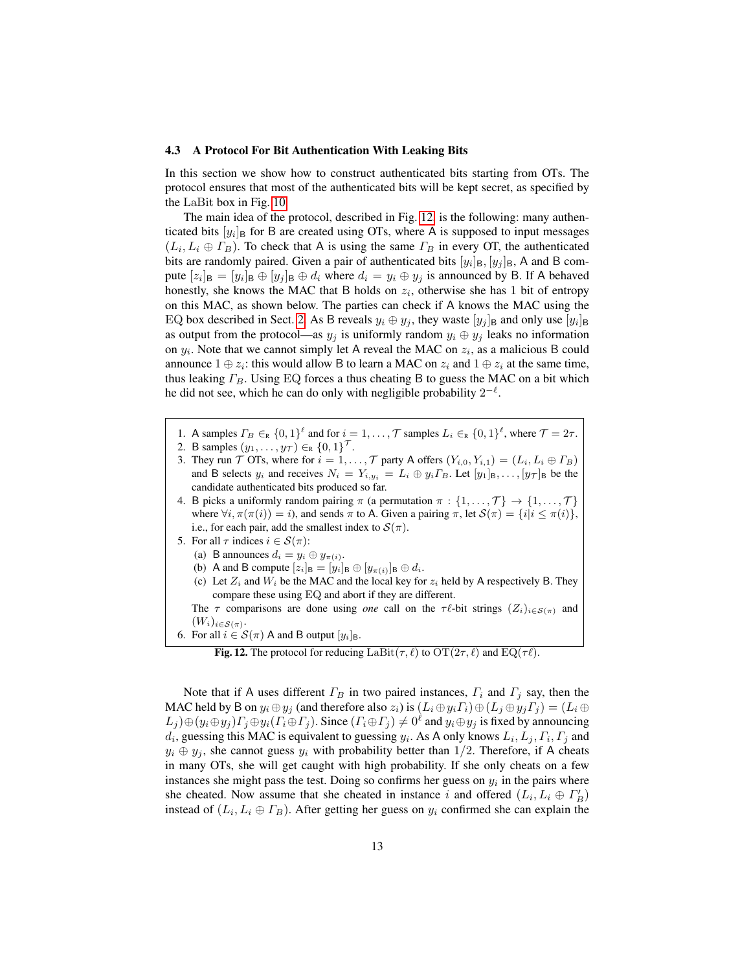#### 4.3 A Protocol For Bit Authentication With Leaking Bits

In this section we show how to construct authenticated bits starting from OTs. The protocol ensures that most of the authenticated bits will be kept secret, as specified by the LaBit box in Fig. [10.](#page-11-0)

The main idea of the protocol, described in Fig. [12,](#page-12-0) is the following: many authenticated bits  $[y_i]_B$  for B are created using OTs, where A is supposed to input messages  $(L_i, L_i \oplus \Gamma_B)$ . To check that A is using the same  $\Gamma_B$  in every OT, the authenticated bits are randomly paired. Given a pair of authenticated bits  $[y_i]_B$ ,  $[y_j]_B$ , A and B compute  $[z_i]_B = [y_i]_B \oplus [y_j]_B \oplus d_i$  where  $d_i = y_i \oplus y_j$  is announced by B. If A behaved honestly, she knows the MAC that B holds on  $z_i$ , otherwise she has 1 bit of entropy on this MAC, as shown below. The parties can check if A knows the MAC using the EQ box described in Sect. [2.](#page-5-1) As B reveals  $y_i \oplus y_j$ , they waste  $[y_j]_B$  and only use  $[y_i]_B$ as output from the protocol—as  $y_j$  is uniformly random  $y_i \oplus y_j$  leaks no information on  $y_i$ . Note that we cannot simply let A reveal the MAC on  $z_i$ , as a malicious B could announce  $1 \oplus z_i$ : this would allow B to learn a MAC on  $z_i$  and  $1 \oplus z_i$  at the same time, thus leaking  $\Gamma_B$ . Using EQ forces a thus cheating B to guess the MAC on a bit which he did not see, which he can do only with negligible probability  $2^{-\ell}$ .

- 1. A samples  $\Gamma_B \in_R \{0,1\}^{\ell}$  and for  $i=1,\ldots,\mathcal{T}$  samples  $L_i \in_R \{0,1\}^{\ell}$ , where  $\mathcal{T}=2\tau$ .
- 2. B samples  $(y_1, ..., y_{\tau}) \in_R \{0, 1\}^{\tau}$ .
- 3. They run  $\mathcal T$  OTs, where for  $i = 1, \ldots, \mathcal T$  party A offers  $(Y_{i,0}, Y_{i,1}) = (L_i, L_i \oplus \Gamma_B)$ and B selects  $y_i$  and receives  $N_i = Y_{i,y_i} = L_i \oplus y_i \Gamma_B$ . Let  $[y_1]_B, \ldots, [y_T]_B$  be the candidate authenticated bits produced so far.
- 4. B picks a uniformly random pairing  $\pi$  (a permutation  $\pi$ :  $\{1, \ldots, \mathcal{T}\}$   $\rightarrow$   $\{1, \ldots, \mathcal{T}\}$ where  $\forall i, \pi(\pi(i)) = i$ , and sends  $\pi$  to A. Given a pairing  $\pi$ , let  $\mathcal{S}(\pi) = \{i | i \leq \pi(i)\}\$ , i.e., for each pair, add the smallest index to  $\mathcal{S}(\pi)$ .
- 5. For all  $\tau$  indices  $i \in \mathcal{S}(\pi)$ :
	- (a) B announces  $d_i = y_i \oplus y_{\pi(i)}$ .
	- (b) A and B compute  $[z_i]_B = [y_i]_B \oplus [y_{\pi(i)}]_B \oplus d_i$ .
	- (c) Let  $Z_i$  and  $W_i$  be the MAC and the local key for  $z_i$  held by A respectively B. They compare these using EQ and abort if they are different.

The  $\tau$  comparisons are done using *one* call on the  $\tau \ell$ -bit strings  $(Z_i)_{i \in S(\pi)}$  and  $(W_i)_{i\in\mathcal{S}(\pi)}$ .

6. For all  $i \in \mathcal{S}(\pi)$  A and B output  $[y_i]_B$ .

<span id="page-12-0"></span>Fig. 12. The protocol for reducing  $\text{LaBit}(\tau, \ell)$  to  $\text{OT}(2\tau, \ell)$  and  $\text{EQ}(\tau \ell)$ .

Note that if A uses different  $\Gamma_B$  in two paired instances,  $\Gamma_i$  and  $\Gamma_j$  say, then the MAC held by B on  $y_i \oplus y_j$  (and therefore also  $z_i$ ) is  $(L_i \oplus y_i \Gamma_i) \oplus (L_j \oplus y_j \Gamma_j) = (L_i \oplus$  $(L_j) \oplus (y_i \oplus y_j) \Gamma_j \oplus y_i (\Gamma_i \oplus \Gamma_j)$ . Since  $(\Gamma_i \oplus \Gamma_j) \neq 0^{\ell}$  and  $y_i \oplus y_j$  is fixed by announcing  $d_i$ , guessing this MAC is equivalent to guessing  $y_i$ . As A only knows  $L_i, L_j, \Gamma_i, \Gamma_j$  and  $y_i \oplus y_j$ , she cannot guess  $y_i$  with probability better than  $1/2$ . Therefore, if A cheats in many OTs, she will get caught with high probability. If she only cheats on a few instances she might pass the test. Doing so confirms her guess on  $y_i$  in the pairs where she cheated. Now assume that she cheated in instance i and offered  $(L_i, L_i \oplus \Gamma'_B)$ instead of  $(L_i, L_i \oplus \Gamma_B)$ . After getting her guess on  $y_i$  confirmed she can explain the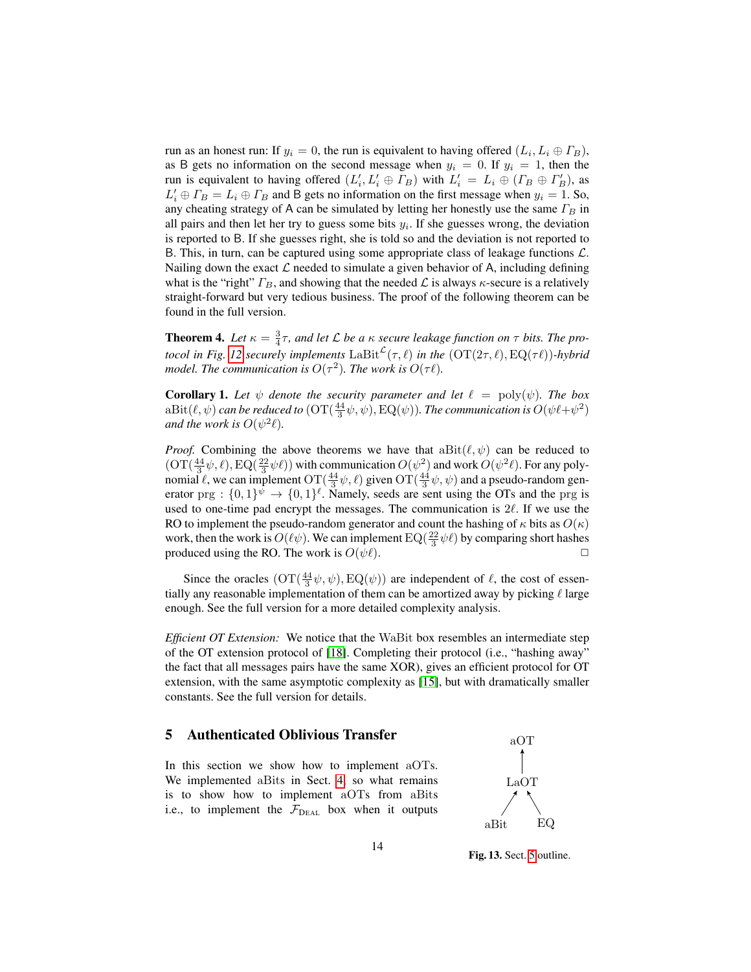run as an honest run: If  $y_i = 0$ , the run is equivalent to having offered  $(L_i, L_i \oplus \Gamma_B)$ , as B gets no information on the second message when  $y_i = 0$ . If  $y_i = 1$ , then the run is equivalent to having offered  $(L'_i, L'_i \oplus T_B)$  with  $L'_i = L_i \oplus (T_B \oplus T'_B)$ , as  $L'_i \oplus \Gamma_B = L_i \oplus \Gamma_B$  and B gets no information on the first message when  $y_i = 1$ . So, any cheating strategy of A can be simulated by letting her honestly use the same  $\Gamma_B$  in all pairs and then let her try to guess some bits  $y_i$ . If she guesses wrong, the deviation is reported to B. If she guesses right, she is told so and the deviation is not reported to B. This, in turn, can be captured using some appropriate class of leakage functions  $\mathcal{L}$ . Nailing down the exact  $\mathcal L$  needed to simulate a given behavior of A, including defining what is the "right"  $\Gamma_B$ , and showing that the needed  $\mathcal L$  is always  $\kappa$ -secure is a relatively straight-forward but very tedious business. The proof of the following theorem can be found in the full version.

**Theorem 4.** Let  $\kappa = \frac{3}{4}\tau$ , and let L be a  $\kappa$  secure leakage function on  $\tau$  bits. The pro-*tocol in Fig. [12](#page-12-0) securely implements*  $\text{LaBit}^{\mathcal{L}}(\tau, \ell)$  *in the*  $(\text{OT}(2\tau, \ell), \text{EQ}(\tau \ell))$ *-hybrid model. The communication is*  $O(\tau^2)$ *. The work is*  $O(\tau \ell)$ *.* 

**Corollary 1.** Let  $\psi$  denote the security parameter and let  $\ell = \text{poly}(\psi)$ . The box  $\mathrm{aBit}(\ell,\psi)$  *can be reduced to*  $\mathrm{(OT}(\frac{44}{3}\psi,\psi),\mathrm{EQ}(\psi)).$  The communication is  $O(\psi\ell{+}\psi^2)$ and the work is  $O(\psi^2 \ell)$ .

*Proof.* Combining the above theorems we have that  $aBit(\ell, \psi)$  can be reduced to  $(OT(\frac{44}{3}\psi,\ell),EQ(\frac{22}{3}\psi\ell))$  with communication  $O(\psi^2)$  and work  $O(\psi^2\ell)$ . For any polynomial  $\ell$ , we can implement  $OT(\frac{44}{3}\psi,\ell)$  given  $OT(\frac{44}{3}\psi,\psi)$  and a pseudo-random generator prg :  $\{0,1\}^{\psi} \rightarrow \{0,1\}^{\ell}$ . Namely, seeds are sent using the OTs and the prg is used to one-time pad encrypt the messages. The communication is  $2\ell$ . If we use the RO to implement the pseudo-random generator and count the hashing of  $\kappa$  bits as  $O(\kappa)$ work, then the work is  $O(\ell \psi)$ . We can implement  $\mathrm{EQ}(\frac{22}{3} \psi \ell)$  by comparing short hashes produced using the RO. The work is  $O(\psi \ell)$ .

Since the oracles  $(OT(\frac{44}{3}\psi, \psi), EQ(\psi))$  are independent of  $\ell$ , the cost of essentially any reasonable implementation of them can be amortized away by picking  $\ell$  large enough. See the full version for a more detailed complexity analysis.

*Efficient OT Extension:* We notice that the WaBit box resembles an intermediate step of the OT extension protocol of [\[18\]](#page-19-1). Completing their protocol (i.e., "hashing away" the fact that all messages pairs have the same XOR), gives an efficient protocol for OT extension, with the same asymptotic complexity as [\[15\]](#page-18-1), but with dramatically smaller constants. See the full version for details.

## <span id="page-13-0"></span>5 Authenticated Oblivious Transfer  $aOT$

In this section we show how to implement aOTs. We implemented aBits in Sect. [4,](#page-8-0) so what remains is to show how to implement aOTs from aBits i.e., to implement the  $\mathcal{F}_{\text{DEAL}}$  box when it outputs



Fig. 13. Sect. [5](#page-13-0) outline.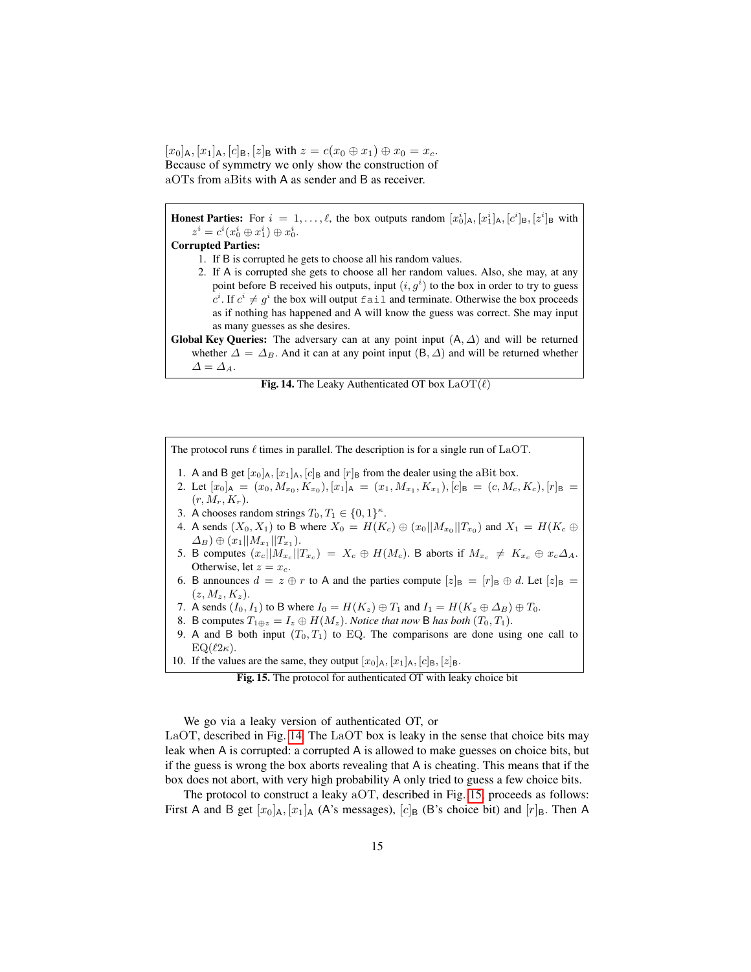$[x_0]_A, [x_1]_A, [c]_B, [z]_B$  with  $z = c(x_0 \oplus x_1) \oplus x_0 = x_c$ . Because of symmetry we only show the construction of aOTs from aBits with A as sender and B as receiver.

**Honest Parties:** For  $i = 1, ..., \ell$ , the box outputs random  $[x_0^i]_A, [x_1^i]_A, [c^i]_B, [z^i]_B$  with  $z^{i} = c^{i}(x_{0}^{i} \oplus x_{1}^{i}) \oplus x_{0}^{i}.$ 

#### Corrupted Parties:

- 1. If B is corrupted he gets to choose all his random values.
- 2. If A is corrupted she gets to choose all her random values. Also, she may, at any point before B received his outputs, input  $(i, g<sup>i</sup>)$  to the box in order to try to guess  $c^i$ . If  $c^i \neq g^i$  the box will output fail and terminate. Otherwise the box proceeds as if nothing has happened and A will know the guess was correct. She may input as many guesses as she desires.

**Global Key Queries:** The adversary can at any point input  $(A, \Delta)$  and will be returned whether  $\Delta = \Delta_B$ . And it can at any point input  $(B, \Delta)$  and will be returned whether  $\Delta = \Delta_A$ .

<span id="page-14-0"></span>Fig. 14. The Leaky Authenticated OT box  $\text{LaOT}(\ell)$ 

The protocol runs  $\ell$  times in parallel. The description is for a single run of LaOT. 1. A and B get  $[x_0]_A$ ,  $[x_1]_A$ ,  $[c]_B$  and  $[r]_B$  from the dealer using the aBit box. 2. Let  $[x_0]_A = (x_0, M_{x_0}, K_{x_0}), [x_1]_A = (x_1, M_{x_1}, K_{x_1}), [c]_B = (c, M_c, K_c), [r]_B =$  $(r, M_r, K_r).$ 3. A chooses random strings  $T_0, T_1 \in \{0, 1\}^{\kappa}$ . 4. A sends  $(X_0, X_1)$  to B where  $X_0 = H(K_c) \oplus (x_0||M_{x_0}||T_{x_0})$  and  $X_1 = H(K_c \oplus$  $\Delta_B) \oplus (x_1 || M_{x_1} || T_{x_1}).$ 5. B computes  $(x_c||M_{x_c}||T_{x_c}) = X_c \oplus H(M_c)$ . B aborts if  $M_{x_c} \neq K_{x_c} \oplus x_c \Delta A$ . Otherwise, let  $z = x_c$ . 6. B announces  $d = z \oplus r$  to A and the parties compute  $[z]_B = [r]_B \oplus d$ . Let  $[z]_B =$  $(z, M_z, K_z).$ 7. A sends  $(I_0, I_1)$  to B where  $I_0 = H(K_z) \oplus T_1$  and  $I_1 = H(K_z \oplus \Delta_B) \oplus T_0$ . 8. B computes  $T_{1\oplus z} = I_z \oplus H(M_z)$ . *Notice that now B has both*  $(T_0, T_1)$ . 9. A and B both input  $(T_0, T_1)$  to EQ. The comparisons are done using one call to  $EQ(\ell 2\kappa)$ . 10. If the values are the same, they output  $[x_0]_A$ ,  $[x_1]_A$ ,  $[c]_B$ ,  $[z]_B$ . Fig. 15. The protocol for authenticated OT with leaky choice bit

<span id="page-14-1"></span>We go via a leaky version of authenticated OT, or LaOT, described in Fig. [14.](#page-14-0) The LaOT box is leaky in the sense that choice bits may leak when A is corrupted: a corrupted A is allowed to make guesses on choice bits, but if the guess is wrong the box aborts revealing that A is cheating. This means that if the box does not abort, with very high probability A only tried to guess a few choice bits.

The protocol to construct a leaky aOT, described in Fig. [15,](#page-14-1) proceeds as follows: First A and B get  $[x_0]_A$ ,  $[x_1]_A$  (A's messages),  $[c]_B$  (B's choice bit) and  $[r]_B$ . Then A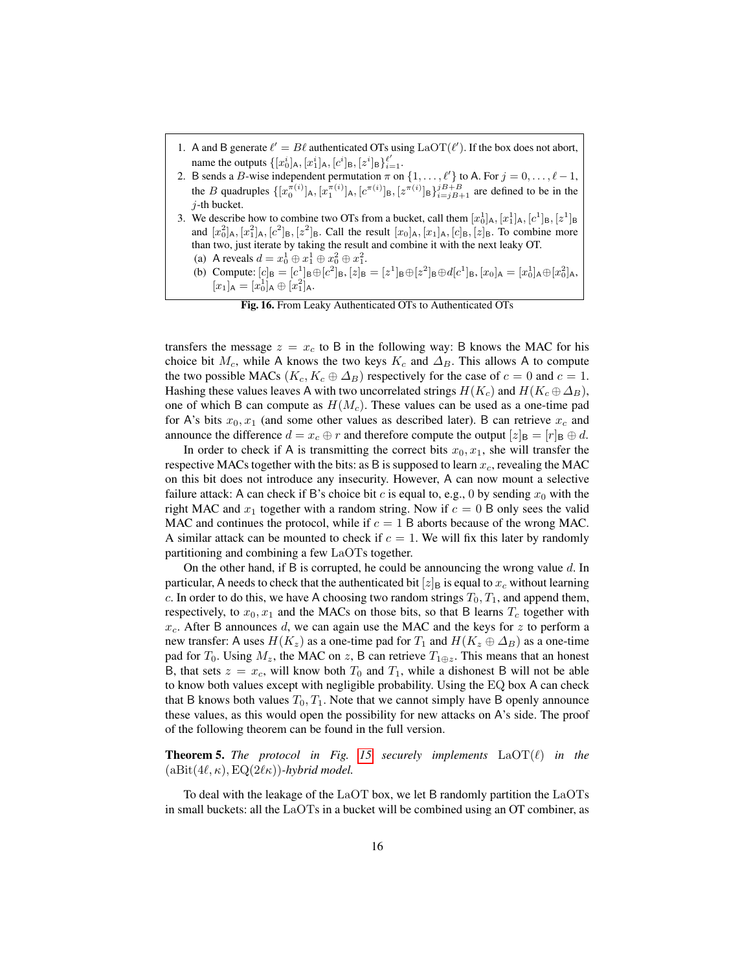- 1. A and B generate  $\ell' = B\ell$  authenticated OTs using LaOT( $\ell'$ ). If the box does not abort, name the outputs  $\{ [x_0^i]_A, [x_1^i]_A, [c^i]_B, [z^i]_B \}_{i=1}^{\ell'}$ .
- 2. B sends a B-wise independent permutation  $\pi$  on  $\{1, \ldots, \ell'\}$  to A. For  $j = 0, \ldots, \ell 1$ , the B quadruples  $\{ [x_0^{\pi(i)}]_A, [x_1^{\pi(i)}]_A, [c^{\pi(i)}]_B, [z^{\pi(i)}]_B \}_{i=jB+1}^{jB+B}$  are defined to be in the  $i$ -th bucket.
- 3. We describe how to combine two OTs from a bucket, call them  $[x_0^1]_A$ ,  $[x_1^1]_A$ ,  $[c^1]_B$ ,  $[z^1]_B$ and  $[x_0^2]_A, [x_1^2]_A, [c^2]_B, [z^2]_B$ . Call the result  $[x_0]_A, [x_1]_A, [c]_B, [z]_B$ . To combine more than two, just iterate by taking the result and combine it with the next leaky OT.
	- (a) A reveals  $d = x_0^1 \oplus x_1^1 \oplus x_0^2 \oplus x_1^2$ .
	- (b) Compute:  $[c]_B = [c^1]_B \oplus [c^2]_B$ ,  $[z]_B = [z^1]_B \oplus [z^2]_B \oplus d[c^1]_B$ ,  $[x_0]_A = [x_0^1]_A \oplus [x_0^2]_A$ ,  $[x_1]_{\mathsf{A}}=[x_0^1]_{\mathsf{A}}\oplus [x_1^2]_{\mathsf{A}}.$

<span id="page-15-0"></span>Fig. 16. From Leaky Authenticated OTs to Authenticated OTs

transfers the message  $z = x_c$  to B in the following way: B knows the MAC for his choice bit  $M_c$ , while A knows the two keys  $K_c$  and  $\Delta_B$ . This allows A to compute the two possible MACs ( $K_c, K_c \oplus \Delta_B$ ) respectively for the case of  $c = 0$  and  $c = 1$ . Hashing these values leaves A with two uncorrelated strings  $H(K_c)$  and  $H(K_c \oplus \Delta_B)$ , one of which B can compute as  $H(M_c)$ . These values can be used as a one-time pad for A's bits  $x_0, x_1$  (and some other values as described later). B can retrieve  $x_c$  and announce the difference  $d = x_c \oplus r$  and therefore compute the output  $[z]_B = [r]_B \oplus d$ .

In order to check if A is transmitting the correct bits  $x_0, x_1$ , she will transfer the respective MACs together with the bits: as B is supposed to learn  $x_c$ , revealing the MAC on this bit does not introduce any insecurity. However, A can now mount a selective failure attack: A can check if B's choice bit c is equal to, e.g., 0 by sending  $x_0$  with the right MAC and  $x_1$  together with a random string. Now if  $c = 0$  B only sees the valid MAC and continues the protocol, while if  $c = 1$  B aborts because of the wrong MAC. A similar attack can be mounted to check if  $c = 1$ . We will fix this later by randomly partitioning and combining a few LaOTs together.

On the other hand, if B is corrupted, he could be announcing the wrong value  $d$ . In particular, A needs to check that the authenticated bit  $[z]_B$  is equal to  $x_c$  without learning c. In order to do this, we have A choosing two random strings  $T_0, T_1$ , and append them, respectively, to  $x_0, x_1$  and the MACs on those bits, so that B learns  $T_c$  together with  $x_c$ . After B announces d, we can again use the MAC and the keys for z to perform a new transfer: A uses  $H(K_z)$  as a one-time pad for  $T_1$  and  $H(K_z \oplus \Delta_B)$  as a one-time pad for  $T_0$ . Using  $M_z$ , the MAC on z, B can retrieve  $T_{1\oplus z}$ . This means that an honest B, that sets  $z = x_c$ , will know both  $T_0$  and  $T_1$ , while a dishonest B will not be able to know both values except with negligible probability. Using the EQ box A can check that B knows both values  $T_0, T_1$ . Note that we cannot simply have B openly announce these values, as this would open the possibility for new attacks on A's side. The proof of the following theorem can be found in the full version.

**Theorem 5.** *The protocol in Fig. [15](#page-14-1) securely implements*  $LaOT(\ell)$  *in the*  $(aBit(4\ell, \kappa), EQ(2\ell\kappa))$ *-hybrid model.* 

To deal with the leakage of the LaOT box, we let B randomly partition the LaOTs in small buckets: all the LaOTs in a bucket will be combined using an OT combiner, as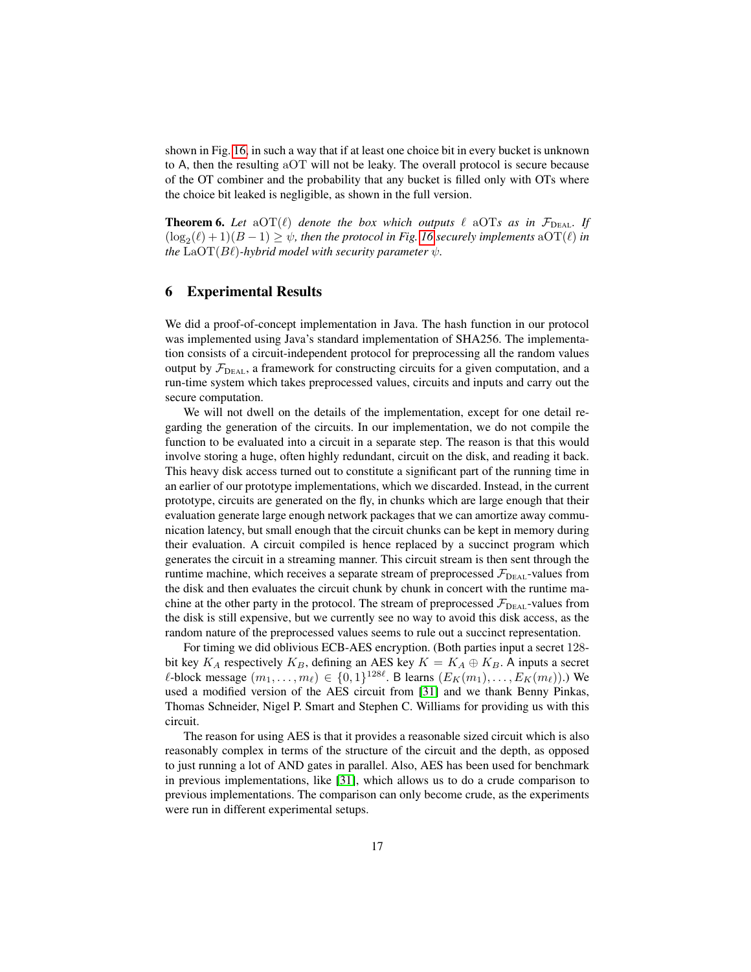shown in Fig. [16,](#page-15-0) in such a way that if at least one choice bit in every bucket is unknown to A, then the resulting aOT will not be leaky. The overall protocol is secure because of the OT combiner and the probability that any bucket is filled only with OTs where the choice bit leaked is negligible, as shown in the full version.

**Theorem 6.** Let  $aOT(\ell)$  denote the box which outputs  $\ell$  aOTs as in  $\mathcal{F}_{DEAL}$ . If  $(\log_2(\ell) + 1)(B - 1) \ge \psi$ , then the protocol in Fig. [16](#page-15-0) securely implements  $aOT(\ell)$  in *the*  $LaOT(B\ell)$ *-hybrid model with security parameter*  $\psi$ *.* 

## <span id="page-16-0"></span>6 Experimental Results

We did a proof-of-concept implementation in Java. The hash function in our protocol was implemented using Java's standard implementation of SHA256. The implementation consists of a circuit-independent protocol for preprocessing all the random values output by  $\mathcal{F}_{\text{DEAL}}$ , a framework for constructing circuits for a given computation, and a run-time system which takes preprocessed values, circuits and inputs and carry out the secure computation.

We will not dwell on the details of the implementation, except for one detail regarding the generation of the circuits. In our implementation, we do not compile the function to be evaluated into a circuit in a separate step. The reason is that this would involve storing a huge, often highly redundant, circuit on the disk, and reading it back. This heavy disk access turned out to constitute a significant part of the running time in an earlier of our prototype implementations, which we discarded. Instead, in the current prototype, circuits are generated on the fly, in chunks which are large enough that their evaluation generate large enough network packages that we can amortize away communication latency, but small enough that the circuit chunks can be kept in memory during their evaluation. A circuit compiled is hence replaced by a succinct program which generates the circuit in a streaming manner. This circuit stream is then sent through the runtime machine, which receives a separate stream of preprocessed  $\mathcal{F}_{\text{DEAL}}$ -values from the disk and then evaluates the circuit chunk by chunk in concert with the runtime machine at the other party in the protocol. The stream of preprocessed  $\mathcal{F}_{\text{DEAL}}$ -values from the disk is still expensive, but we currently see no way to avoid this disk access, as the random nature of the preprocessed values seems to rule out a succinct representation.

For timing we did oblivious ECB-AES encryption. (Both parties input a secret 128 bit key  $K_A$  respectively  $K_B$ , defining an AES key  $K = K_A \oplus K_B$ . A inputs a secret  $\ell$ -block message  $(m_1, \ldots, m_\ell) \in \{0, 1\}^{128\ell}$ . B learns  $(E_K(m_1), \ldots, E_K(m_\ell))$ .) We used a modified version of the AES circuit from [\[31\]](#page-19-9) and we thank Benny Pinkas, Thomas Schneider, Nigel P. Smart and Stephen C. Williams for providing us with this circuit.

The reason for using AES is that it provides a reasonable sized circuit which is also reasonably complex in terms of the structure of the circuit and the depth, as opposed to just running a lot of AND gates in parallel. Also, AES has been used for benchmark in previous implementations, like [\[31\]](#page-19-9), which allows us to do a crude comparison to previous implementations. The comparison can only become crude, as the experiments were run in different experimental setups.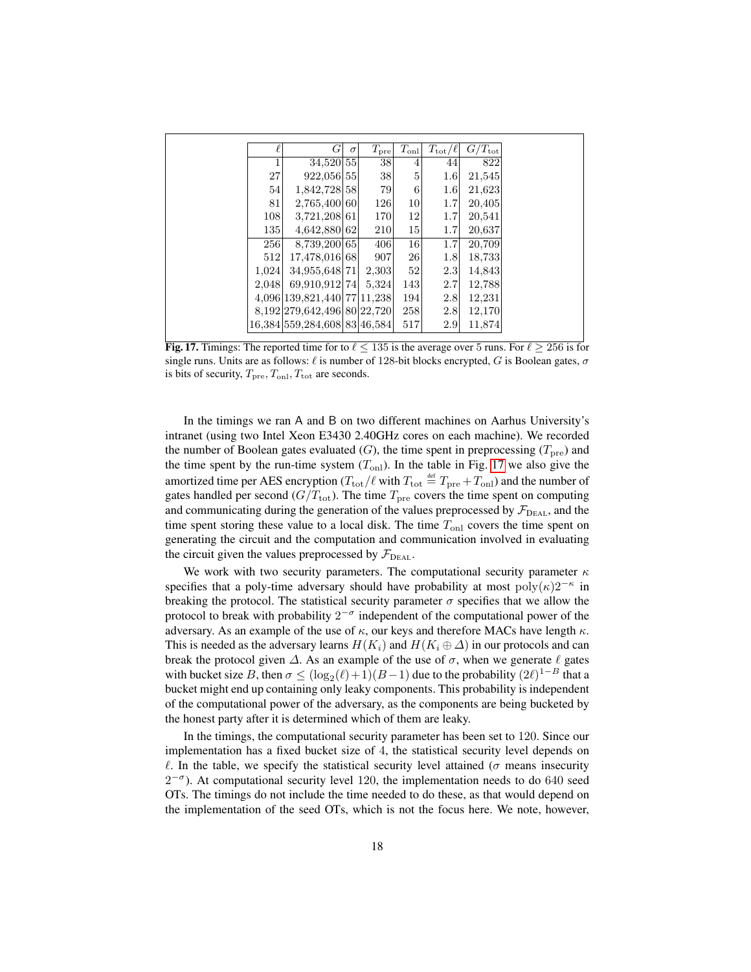| $\ell$ | G                            | $\sigma$ | $T_{\rm pre}$ | $T_{\rm onl}$  | $T_{\rm tot}/\ell$ | $G/T_{\rm tot}$ |
|--------|------------------------------|----------|---------------|----------------|--------------------|-----------------|
|        | 34,520 55                    |          | 38            | 4              | 44                 | 822             |
| 27     | $922,056$ 5                  |          | 38            | $\overline{5}$ | 1.6                | 21,545          |
| 54     | 1,842,728 58                 |          | 79            | 6              | 1.6                | 21,623          |
| 81     | 2,765,400 60                 |          | 126           | 10             | 1.7                | 20,405          |
| 108    | $3,721,208$ 61               |          | 170           | 12             | 1.7                | 20,541          |
| 135    | 4,642,880 62                 |          | 210           | 15             | 1.7                | 20,637          |
| 256    | 8,739,200 65                 |          | 406           | 16             | 1.7                | 20,709          |
| 512    | 17,478,016 68                |          | 907           | 26             | 1.8                | 18,733          |
| 1,024  | 34,955,648 71                |          | 2,303         | 52             | 2.3                | 14,843          |
| 2,048  | 69,910,912 74                |          | 5,324         | 143            | 2.7                | 12,788          |
|        | 4,096 139,821,440 77 11,238  |          |               | 194            | 2.8                | 12,231          |
|        | 8,192 279,642,496 80 22,720  |          |               | 258            | 2.8                | 12,170          |
|        | 16,384 559,284,608 83 46,584 |          |               | 517            | 2.9                | 11,874          |

<span id="page-17-0"></span>Fig. 17. Timings: The reported time for to  $\ell \leq 135$  is the average over 5 runs. For  $\ell \geq 256$  is for single runs. Units are as follows:  $\ell$  is number of 128-bit blocks encrypted, G is Boolean gates,  $\sigma$ is bits of security,  $T_{pre}$ ,  $T_{\text{onl}}$ ,  $T_{\text{tot}}$  are seconds.

In the timings we ran A and B on two different machines on Aarhus University's intranet (using two Intel Xeon E3430 2.40GHz cores on each machine). We recorded the number of Boolean gates evaluated  $(G)$ , the time spent in preprocessing  $(T<sub>pre</sub>)$  and the time spent by the run-time system  $(T_{\text{on}})$ . In the table in Fig. [17](#page-17-0) we also give the amortized time per AES encryption ( $T_{\rm tot}/\ell$  with  $T_{\rm tot} \stackrel{\text{\tiny def}}{=} T_{\rm pre} + T_{\rm onl}$ ) and the number of gates handled per second ( $G/T_{\text{tot}}$ ). The time  $T_{\text{pre}}$  covers the time spent on computing and communicating during the generation of the values preprocessed by  $\mathcal{F}_{\text{DEAL}}$ , and the time spent storing these value to a local disk. The time  $T_{\text{onl}}$  covers the time spent on generating the circuit and the computation and communication involved in evaluating the circuit given the values preprocessed by  $\mathcal{F}_{\text{DEAL}}$ .

We work with two security parameters. The computational security parameter  $\kappa$ specifies that a poly-time adversary should have probability at most  $poly(\kappa)2^{-\kappa}$  in breaking the protocol. The statistical security parameter  $\sigma$  specifies that we allow the protocol to break with probability  $2^{-\sigma}$  independent of the computational power of the adversary. As an example of the use of  $\kappa$ , our keys and therefore MACs have length  $\kappa$ . This is needed as the adversary learns  $H(K_i)$  and  $H(K_i \oplus \Delta)$  in our protocols and can break the protocol given  $\Delta$ . As an example of the use of  $\sigma$ , when we generate  $\ell$  gates with bucket size B, then  $\sigma \leq (\log_2(\ell) + 1)(B - 1)$  due to the probability  $(2\ell)^{1-B}$  that a bucket might end up containing only leaky components. This probability is independent of the computational power of the adversary, as the components are being bucketed by the honest party after it is determined which of them are leaky.

In the timings, the computational security parameter has been set to 120. Since our implementation has a fixed bucket size of 4, the statistical security level depends on  $\ell$ . In the table, we specify the statistical security level attained ( $\sigma$  means insecurity  $2^{-\sigma}$ ). At computational security level 120, the implementation needs to do 640 seed OTs. The timings do not include the time needed to do these, as that would depend on the implementation of the seed OTs, which is not the focus here. We note, however,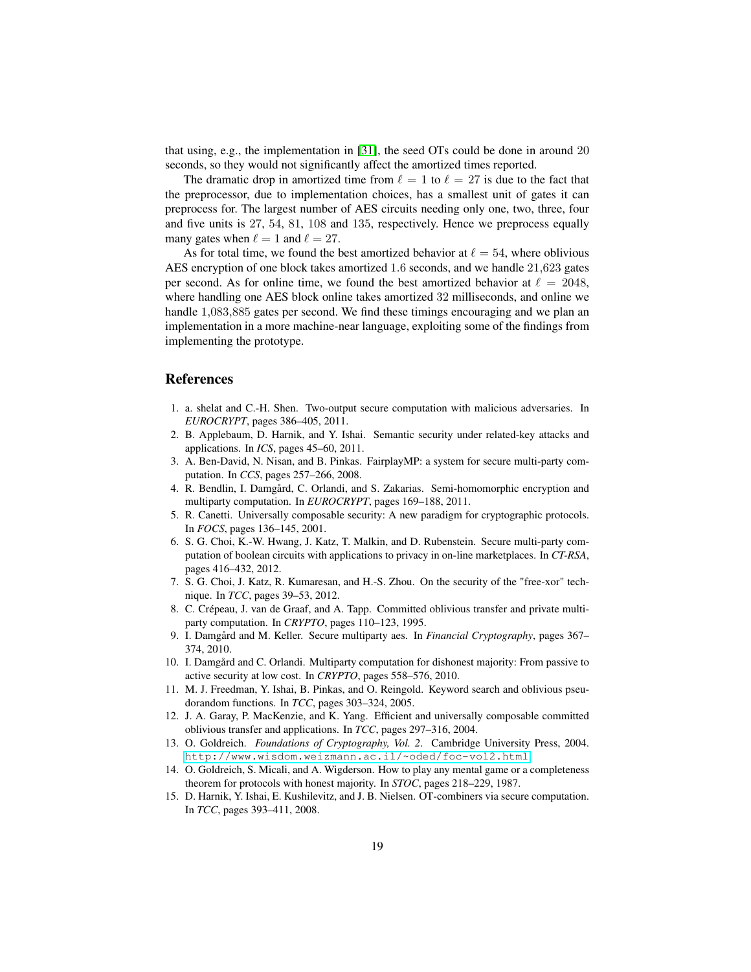that using, e.g., the implementation in [\[31\]](#page-19-9), the seed OTs could be done in around 20 seconds, so they would not significantly affect the amortized times reported.

The dramatic drop in amortized time from  $\ell = 1$  to  $\ell = 27$  is due to the fact that the preprocessor, due to implementation choices, has a smallest unit of gates it can preprocess for. The largest number of AES circuits needing only one, two, three, four and five units is 27, 54, 81, 108 and 135, respectively. Hence we preprocess equally many gates when  $\ell = 1$  and  $\ell = 27$ .

As for total time, we found the best amortized behavior at  $\ell = 54$ , where oblivious AES encryption of one block takes amortized 1.6 seconds, and we handle 21,623 gates per second. As for online time, we found the best amortized behavior at  $\ell = 2048$ , where handling one AES block online takes amortized 32 milliseconds, and online we handle 1,083,885 gates per second. We find these timings encouraging and we plan an implementation in a more machine-near language, exploiting some of the findings from implementing the prototype.

## References

- <span id="page-18-3"></span>1. a. shelat and C.-H. Shen. Two-output secure computation with malicious adversaries. In *EUROCRYPT*, pages 386–405, 2011.
- <span id="page-18-13"></span>2. B. Applebaum, D. Harnik, and Y. Ishai. Semantic security under related-key attacks and applications. In *ICS*, pages 45–60, 2011.
- <span id="page-18-2"></span>3. A. Ben-David, N. Nisan, and B. Pinkas. FairplayMP: a system for secure multi-party computation. In *CCS*, pages 257–266, 2008.
- <span id="page-18-5"></span>4. R. Bendlin, I. Damgård, C. Orlandi, and S. Zakarias. Semi-homomorphic encryption and multiparty computation. In *EUROCRYPT*, pages 169–188, 2011.
- <span id="page-18-12"></span>5. R. Canetti. Universally composable security: A new paradigm for cryptographic protocols. In *FOCS*, pages 136–145, 2001.
- <span id="page-18-6"></span>6. S. G. Choi, K.-W. Hwang, J. Katz, T. Malkin, and D. Rubenstein. Secure multi-party computation of boolean circuits with applications to privacy in on-line marketplaces. In *CT-RSA*, pages 416–432, 2012.
- <span id="page-18-14"></span>7. S. G. Choi, J. Katz, R. Kumaresan, and H.-S. Zhou. On the security of the "free-xor" technique. In *TCC*, pages 39–53, 2012.
- <span id="page-18-10"></span>8. C. Crépeau, J. van de Graaf, and A. Tapp. Committed oblivious transfer and private multiparty computation. In *CRYPTO*, pages 110–123, 1995.
- <span id="page-18-7"></span>9. I. Damgård and M. Keller. Secure multiparty aes. In *Financial Cryptography*, pages 367– 374, 2010.
- <span id="page-18-4"></span>10. I. Damgård and C. Orlandi. Multiparty computation for dishonest majority: From passive to active security at low cost. In *CRYPTO*, pages 558–576, 2010.
- <span id="page-18-9"></span>11. M. J. Freedman, Y. Ishai, B. Pinkas, and O. Reingold. Keyword search and oblivious pseudorandom functions. In *TCC*, pages 303–324, 2005.
- <span id="page-18-11"></span>12. J. A. Garay, P. MacKenzie, and K. Yang. Efficient and universally composable committed oblivious transfer and applications. In *TCC*, pages 297–316, 2004.
- <span id="page-18-8"></span>13. O. Goldreich. *Foundations of Cryptography, Vol. 2*. Cambridge University Press, 2004. <http://www.wisdom.weizmann.ac.il/~oded/foc-vol2.html>.
- <span id="page-18-0"></span>14. O. Goldreich, S. Micali, and A. Wigderson. How to play any mental game or a completeness theorem for protocols with honest majority. In *STOC*, pages 218–229, 1987.
- <span id="page-18-1"></span>15. D. Harnik, Y. Ishai, E. Kushilevitz, and J. B. Nielsen. OT-combiners via secure computation. In *TCC*, pages 393–411, 2008.